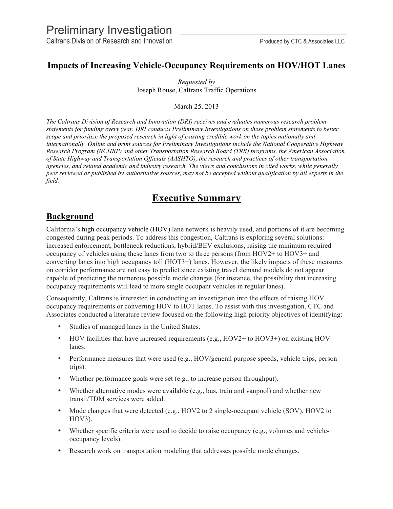Caltrans Division of Research and Innovation **Produced by CTC & Associates LLC** 

## **Impacts of Increasing Vehicle-Occupancy Requirements on HOV/HOT Lanes**

*Requested by* Joseph Rouse, Caltrans Traffic Operations

March 25, 2013

*The Caltrans Division of Research and Innovation (DRI) receives and evaluates numerous research problem statements for funding every year. DRI conducts Preliminary Investigations on these problem statements to better scope and prioritize the proposed research in light of existing credible work on the topics nationally and internationally. Online and print sources for Preliminary Investigations include the National Cooperative Highway Research Program (NCHRP) and other Transportation Research Board (TRB) programs, the American Association of State Highway and Transportation Officials (AASHTO), the research and practices of other transportation agencies, and related academic and industry research. The views and conclusions in cited works, while generally peer reviewed or published by authoritative sources, may not be accepted without qualification by all experts in the field.* 

# **Executive Summary**

# **Background**

California's high occupancy vehicle (HOV) lane network is heavily used, and portions of it are becoming congested during peak periods. To address this congestion, Caltrans is exploring several solutions: increased enforcement, bottleneck reductions, hybrid/BEV exclusions, raising the minimum required occupancy of vehicles using these lanes from two to three persons (from HOV2+ to HOV3+ and converting lanes into high occupancy toll (HOT3+) lanes. However, the likely impacts of these measures on corridor performance are not easy to predict since existing travel demand models do not appear capable of predicting the numerous possible mode changes (for instance, the possibility that increasing occupancy requirements will lead to more single occupant vehicles in regular lanes).

Consequently, Caltrans is interested in conducting an investigation into the effects of raising HOV occupancy requirements or converting HOV to HOT lanes. To assist with this investigation, CTC and Associates conducted a literature review focused on the following high priority objectives of identifying:

- Studies of managed lanes in the United States.
- HOV facilities that have increased requirements (e.g., HOV2+ to HOV3+) on existing HOV lanes.
- Performance measures that were used (e.g., HOV/general purpose speeds, vehicle trips, person trips).
- Whether performance goals were set (e.g., to increase person throughput).
- Whether alternative modes were available (e.g., bus, train and vanpool) and whether new transit/TDM services were added.
- Mode changes that were detected (e.g., HOV2 to 2 single-occupant vehicle (SOV), HOV2 to HOV3).
- Whether specific criteria were used to decide to raise occupancy (e.g., volumes and vehicleoccupancy levels).
- Research work on transportation modeling that addresses possible mode changes.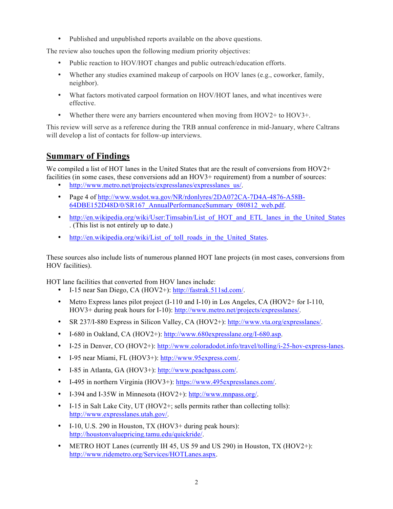• Published and unpublished reports available on the above questions.

The review also touches upon the following medium priority objectives:

- Public reaction to HOV/HOT changes and public outreach/education efforts.
- Whether any studies examined makeup of carpools on HOV lanes (e.g., coworker, family, neighbor).
- What factors motivated carpool formation on HOV/HOT lanes, and what incentives were effective.
- Whether there were any barriers encountered when moving from HOV2+ to HOV3+.

This review will serve as a reference during the TRB annual conference in mid-January, where Caltrans will develop a list of contacts for follow-up interviews.

# **Summary of Findings**

We compiled a list of HOT lanes in the United States that are the result of conversions from HOV2+ facilities (in some cases, these conversions add an HOV3+ requirement) from a number of sources:

- http://www.metro.net/projects/expresslanes/expresslanes\_us/.
- Page 4 of http://www.wsdot.wa.gov/NR/rdonlyres/2DA072CA-7D4A-4876-A58B-64DBE152D48D/0/SR167\_AnnualPerformanceSummary\_080812\_web.pdf.
- http://en.wikipedia.org/wiki/User:Timsabin/List of HOT and ETL lanes in the United States . (This list is not entirely up to date.)
- http://en.wikipedia.org/wiki/List of toll roads in the United States.

These sources also include lists of numerous planned HOT lane projects (in most cases, conversions from HOV facilities).

HOT lane facilities that converted from HOV lanes include:

- I-15 near San Diego, CA (HOV2+): http://fastrak.511sd.com/.
- Metro Express lanes pilot project (I-110 and I-10) in Los Angeles, CA (HOV2+ for I-110, HOV3+ during peak hours for I-10): http://www.metro.net/projects/expresslanes/.
- SR 237/I-880 Express in Silicon Valley, CA (HOV2+): http://www.vta.org/expresslanes/.
- I-680 in Oakland, CA (HOV2+): http://www.680expresslane.org/I-680.asp.
- I-25 in Denver, CO (HOV2+): http://www.coloradodot.info/travel/tolling/i-25-hov-express-lanes.
- I-95 near Miami, FL (HOV3+): http://www.95express.com/.
- I-85 in Atlanta, GA (HOV3+): http://www.peachpass.com/.
- I-495 in northern Virginia (HOV3+): https://www.495expresslanes.com/.
- I-394 and I-35W in Minnesota (HOV2+): http://www.mnpass.org/.
- I-15 in Salt Lake City, UT (HOV2+; sells permits rather than collecting tolls): http://www.expresslanes.utah.gov/.
- I-10, U.S. 290 in Houston, TX (HOV3+ during peak hours): http://houstonvaluepricing.tamu.edu/quickride/.
- METRO HOT Lanes (currently IH 45, US 59 and US 290) in Houston, TX (HOV2+): http://www.ridemetro.org/Services/HOTLanes.aspx.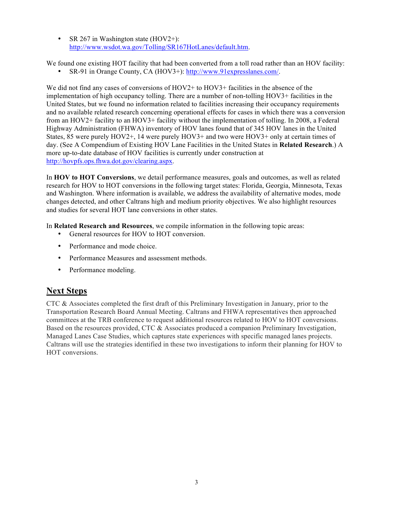• SR 267 in Washington state (HOV2+): http://www.wsdot.wa.gov/Tolling/SR167HotLanes/default.htm.

We found one existing HOT facility that had been converted from a toll road rather than an HOV facility:

• SR-91 in Orange County, CA (HOV3+): http://www.91expresslanes.com/.

We did not find any cases of conversions of HOV2+ to HOV3+ facilities in the absence of the implementation of high occupancy tolling. There are a number of non-tolling HOV3+ facilities in the United States, but we found no information related to facilities increasing their occupancy requirements and no available related research concerning operational effects for cases in which there was a conversion from an HOV2+ facility to an HOV3+ facility without the implementation of tolling. In 2008, a Federal Highway Administration (FHWA) inventory of HOV lanes found that of 345 HOV lanes in the United States, 85 were purely HOV2+, 14 were purely HOV3+ and two were HOV3+ only at certain times of day. (See A Compendium of Existing HOV Lane Facilities in the United States in **Related Research**.) A more up-to-date database of HOV facilities is currently under construction at http://hovpfs.ops.fhwa.dot.gov/clearing.aspx.

In **HOV to HOT Conversions**, we detail performance measures, goals and outcomes, as well as related research for HOV to HOT conversions in the following target states: Florida, Georgia, Minnesota, Texas and Washington. Where information is available, we address the availability of alternative modes, mode changes detected, and other Caltrans high and medium priority objectives. We also highlight resources and studies for several HOT lane conversions in other states.

In **Related Research and Resources**, we compile information in the following topic areas:

- General resources for HOV to HOT conversion.
- Performance and mode choice.
- Performance Measures and assessment methods.
- Performance modeling.

# **Next Steps**

CTC & Associates completed the first draft of this Preliminary Investigation in January, prior to the Transportation Research Board Annual Meeting. Caltrans and FHWA representatives then approached committees at the TRB conference to request additional resources related to HOV to HOT conversions. Based on the resources provided, CTC & Associates produced a companion Preliminary Investigation, Managed Lanes Case Studies, which captures state experiences with specific managed lanes projects. Caltrans will use the strategies identified in these two investigations to inform their planning for HOV to HOT conversions.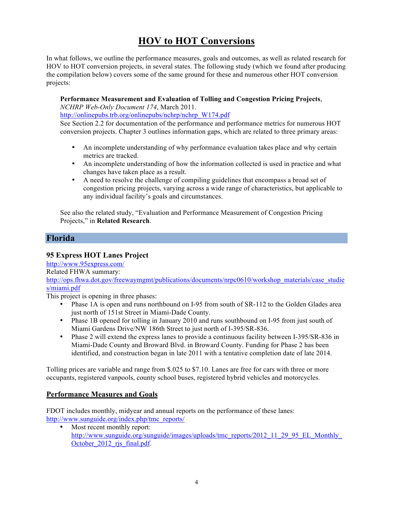# **HOV to HOT Conversions**

In what follows, we outline the performance measures, goals and outcomes, as well as related research for HOV to HOT conversion projects, in several states. The following study (which we found after producing the compilation below) covers some of the same ground for these and numerous other HOT conversion projects:

## **Performance Measurement and Evaluation of Tolling and Congestion Pricing Projects**,

*NCHRP Web-Only Document 174*, March 2011.

http://onlinepubs.trb.org/onlinepubs/nchrp/nchrp\_W174.pdf

See Section 2.2 for documentation of the performance and performance metrics for numerous HOT conversion projects. Chapter 3 outlines information gaps, which are related to three primary areas:

- An incomplete understanding of why performance evaluation takes place and why certain metrics are tracked.
- An incomplete understanding of how the information collected is used in practice and what changes have taken place as a result.
- A need to resolve the challenge of compiling guidelines that encompass a broad set of congestion pricing projects, varying across a wide range of characteristics, but applicable to any individual facility's goals and circumstances.

See also the related study, "Evaluation and Performance Measurement of Congestion Pricing Projects," in **Related Research**.

## **Florida**

## **95 Express HOT Lanes Project**

http://www.95express.com/

Related FHWA summary:

[http://ops.fhwa.dot.gov/freewaymgmt/publications/documents/nrpc0610/workshop\\_materials/case\\_studie](http://ops.fhwa.dot.gov/freewaymgmt/publications/documents/nrpc0610/workshop_materials/case_studies/miami.pdf) s/miami.pdf

This project is opening in three phases:

- Phase 1A is open and runs northbound on I-95 from south of SR-112 to the Golden Glades area just north of 151st Street in Miami-Dade County.
- Phase 1B opened for tolling in January 2010 and runs southbound on I-95 from just south of Miami Gardens Drive/NW 186th Street to just north of I-395/SR-836.
- Phase 2 will extend the express lanes to provide a continuous facility between I-395/SR-836 in Miami-Dade County and Broward Blvd. in Broward County. Funding for Phase 2 has been identified, and construction began in late 2011 with a tentative completion date of late 2014.

Tolling prices are variable and range from \$.025 to \$7.10. Lanes are free for cars with three or more occupants, registered vanpools, county school buses, registered hybrid vehicles and motorcycles.

## **Performance Measures and Goals**

FDOT includes monthly, midyear and annual reports on the performance of these lanes: http://www.sunguide.org/index.php/tmc\_reports/

Most recent monthly report: [http://www.sunguide.org/sunguide/images/uploads/tmc\\_reports/2012\\_11\\_29\\_95\\_EL\\_Monthly\\_](http://www.sunguide.org/sunguide/images/uploads/tmc_reports/2012_11_29_95_EL_Monthly_October_2012_rjs_final.pdf) October 2012 ris final.pdf.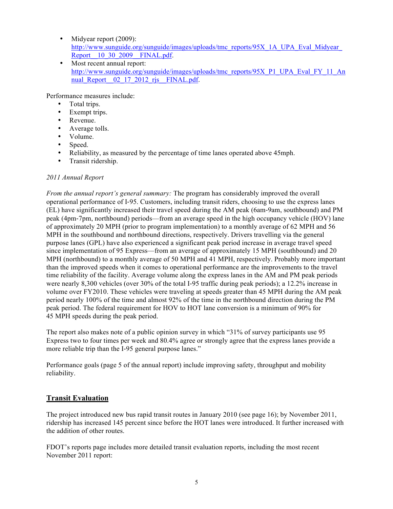- Midyear report (2009): [http://www.sunguide.org/sunguide/images/uploads/tmc\\_reports/95X\\_1A\\_UPA\\_Eval\\_Midyear\\_](http://www.sunguide.org/sunguide/images/uploads/tmc_reports/95X_1A_UPA_Eval_Midyear_Report__10_30_2009__FINAL.pdf) Report 10 30 2009 FINAL.pdf.
- Most recent annual report: [http://www.sunguide.org/sunguide/images/uploads/tmc\\_reports/95X\\_P1\\_UPA\\_Eval\\_FY\\_11\\_An](http://www.sunguide.org/sunguide/images/uploads/tmc_reports/95X_P1_UPA_Eval_FY_11_Annual_Report__02_17_2012_rjs__FINAL.pdf) nual Report 02 17 2012 ris FINAL.pdf.

Performance measures include:

- Total trips.
- Exempt trips.<br>• Revenue
- Revenue.
- Average tolls.
- Volume.
- Speed.
- Reliability, as measured by the percentage of time lanes operated above 45mph.<br>• Transit ridership
- Transit ridership.

## *2011 Annual Report*

*From the annual report's general summary:* The program has considerably improved the overall operational performance of I-95. Customers, including transit riders, choosing to use the express lanes (EL) have significantly increased their travel speed during the AM peak (6am-9am, southbound) and PM peak (4pm-7pm, northbound) periods—from an average speed in the high occupancy vehicle (HOV) lane of approximately 20 MPH (prior to program implementation) to a monthly average of 62 MPH and 56 MPH in the southbound and northbound directions, respectively. Drivers travelling via the general purpose lanes (GPL) have also experienced a significant peak period increase in average travel speed since implementation of 95 Express—from an average of approximately 15 MPH (southbound) and 20 MPH (northbound) to a monthly average of 50 MPH and 41 MPH, respectively. Probably more important than the improved speeds when it comes to operational performance are the improvements to the travel time reliability of the facility. Average volume along the express lanes in the AM and PM peak periods were nearly 8,300 vehicles (over 30% of the total I-95 traffic during peak periods); a 12.2% increase in volume over FY2010. These vehicles were traveling at speeds greater than 45 MPH during the AM peak period nearly 100% of the time and almost 92% of the time in the northbound direction during the PM peak period. The federal requirement for HOV to HOT lane conversion is a minimum of 90% for 45 MPH speeds during the peak period.

The report also makes note of a public opinion survey in which "31% of survey participants use 95 Express two to four times per week and 80.4% agree or strongly agree that the express lanes provide a more reliable trip than the I-95 general purpose lanes."

Performance goals (page 5 of the annual report) include improving safety, throughput and mobility reliability.

## **Transit Evaluation**

The project introduced new bus rapid transit routes in January 2010 (see page 16); by November 2011, ridership has increased 145 percent since before the HOT lanes were introduced. It further increased with the addition of other routes.

FDOT's reports page includes more detailed transit evaluation reports, including the most recent November 2011 report: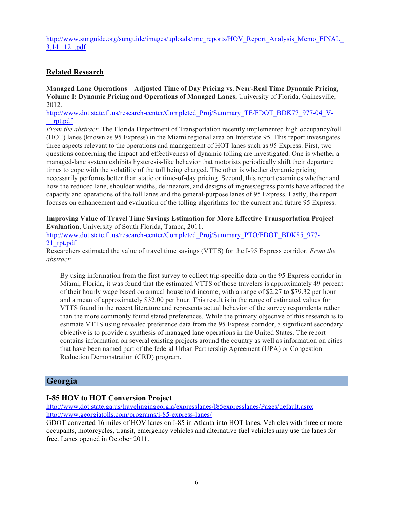[http://www.sunguide.org/sunguide/images/uploads/tmc\\_reports/HOV\\_Report\\_Analysis\\_Memo\\_FINAL\\_](http://www.sunguide.org/sunguide/images/uploads/tmc_reports/HOV_Report_Analysis_Memo_FINAL_3.14_.12_.pdf) 3.14\_.12\_.pdf

## **Related Research**

**Managed Lane Operations—Adjusted Time of Day Pricing vs. Near-Real Time Dynamic Pricing, Volume I: Dynamic Pricing and Operations of Managed Lanes**, University of Florida, Gainesville, 2012.

http://www.dot.state.fl.us/research-center/Completed\_Proj/Summary\_TE/FDOT\_BDK77\_977-04\_V-1\_rpt.pdf

*From the abstract:* The Florida Department of Transportation recently implemented high occupancy/toll (HOT) lanes (known as 95 Express) in the Miami regional area on Interstate 95. This report investigates three aspects relevant to the operations and management of HOT lanes such as 95 Express. First, two questions concerning the impact and effectiveness of dynamic tolling are investigated. One is whether a managed-lane system exhibits hysteresis-like behavior that motorists periodically shift their departure times to cope with the volatility of the toll being charged. The other is whether dynamic pricing necessarily performs better than static or time-of-day pricing. Second, this report examines whether and how the reduced lane, shoulder widths, delineators, and designs of ingress/egress points have affected the capacity and operations of the toll lanes and the general-purpose lanes of 95 Express. Lastly, the report focuses on enhancement and evaluation of the tolling algorithms for the current and future 95 Express.

### **Improving Value of Travel Time Savings Estimation for More Effective Transportation Project Evaluation**, University of South Florida, Tampa, 2011.

http://www.dot.state.fl.us/research-center/Completed\_Proj/Summary\_PTO/FDOT\_BDK85\_977-21\_rpt.pdf

Researchers estimated the value of travel time savings (VTTS) for the I-95 Express corridor. *From the abstract:*

By using information from the first survey to collect trip-specific data on the 95 Express corridor in Miami, Florida, it was found that the estimated VTTS of those travelers is approximately 49 percent of their hourly wage based on annual household income, with a range of \$2.27 to \$79.32 per hour and a mean of approximately \$32.00 per hour. This result is in the range of estimated values for VTTS found in the recent literature and represents actual behavior of the survey respondents rather than the more commonly found stated preferences. While the primary objective of this research is to estimate VTTS using revealed preference data from the 95 Express corridor, a significant secondary objective is to provide a synthesis of managed lane operations in the United States. The report contains information on several existing projects around the country as well as information on cities that have been named part of the federal Urban Partnership Agreement (UPA) or Congestion Reduction Demonstration (CRD) program.

## **Georgia**

## **I-85 HOV to HOT Conversion Project**

http://www.dot.state.ga.us/travelingingeorgia/expresslanes/I85expresslanes/Pages/default.aspx http://www.georgiatolls.com/programs/i-85-express-lanes/

GDOT converted 16 miles of HOV lanes on I-85 in Atlanta into HOT lanes. Vehicles with three or more occupants, motorcycles, transit, emergency vehicles and alternative fuel vehicles may use the lanes for free. Lanes opened in October 2011.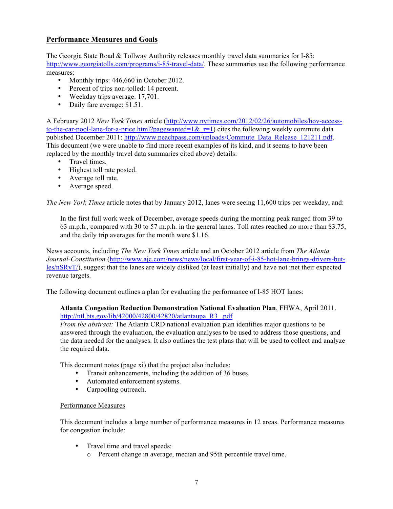## **Performance Measures and Goals**

The Georgia State Road & Tollway Authority releases monthly travel data summaries for I-85: http://www.georgiatolls.com/programs/i-85-travel-data/. These summaries use the following performance measures:

- Monthly trips: 446,660 in October 2012.
- Percent of trips non-tolled: 14 percent.
- Weekday trips average: 17,701.
- Daily fare average: \$1.51.

A February 2012 *New York Times* article (http://www.nytimes.com/2012/02/26/automobiles/hov-accessto-the-car-pool-lane-for-a-price.html?pagewanted=1& $r=1$ ) cites the following weekly commute data published December 2011: http://www.peachpass.com/uploads/Commute\_Data\_Release\_121211.pdf. This document (we were unable to find more recent examples of its kind, and it seems to have been replaced by the monthly travel data summaries cited above) details:

- Travel times.
- Highest toll rate posted.
- Average toll rate.
- Average speed.

*The New York Times* article notes that by January 2012, lanes were seeing 11,600 trips per weekday, and:

In the first full work week of December, average speeds during the morning peak ranged from 39 to 63 m.p.h., compared with 30 to 57 m.p.h. in the general lanes. Toll rates reached no more than \$3.75, and the daily trip averages for the month were \$1.16.

News accounts, including *The New York Times* article and an October 2012 article from *The Atlanta Journal-Constitution* (http://www.ajc.com/news/news/local/first-year-of-i-85-hot-lane-brings-drivers-butles/nSRyT/), suggest that the lanes are widely disliked (at least initially) and have not met their expected revenue targets.

The following document outlines a plan for evaluating the performance of I-85 HOT lanes:

### **Atlanta Congestion Reduction Demonstration National Evaluation Plan**, FHWA, April 2011. http://ntl.bts.gov/lib/42000/42800/42820/atlantaupa\_R3\_.pdf

*From the abstract:* The Atlanta CRD national evaluation plan identifies major questions to be answered through the evaluation, the evaluation analyses to be used to address those questions, and the data needed for the analyses. It also outlines the test plans that will be used to collect and analyze the required data.

This document notes (page xi) that the project also includes:

- Transit enhancements, including the addition of 36 buses.<br>• Automated enforcement systems
- Automated enforcement systems.<br>• Carnooling outreach
- Carpooling outreach.

#### Performance Measures

This document includes a large number of performance measures in 12 areas. Performance measures for congestion include:

- Travel time and travel speeds:
	- o Percent change in average, median and 95th percentile travel time.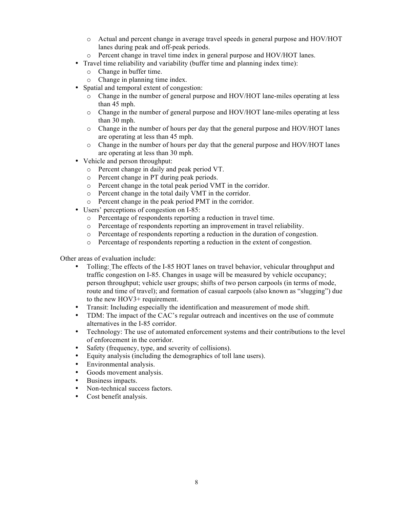- o Actual and percent change in average travel speeds in general purpose and HOV/HOT lanes during peak and off-peak periods.
- o Percent change in travel time index in general purpose and HOV/HOT lanes.
- Travel time reliability and variability (buffer time and planning index time):
	- o Change in buffer time.
	- o Change in planning time index.
- Spatial and temporal extent of congestion:
	- o Change in the number of general purpose and HOV/HOT lane-miles operating at less than 45 mph.
	- o Change in the number of general purpose and HOV/HOT lane-miles operating at less than 30 mph.
	- $\circ$  Change in the number of hours per day that the general purpose and HOV/HOT lanes are operating at less than 45 mph.
	- o Change in the number of hours per day that the general purpose and HOV/HOT lanes are operating at less than 30 mph.
- Vehicle and person throughput:
	- o Percent change in daily and peak period VT.
	- o Percent change in PT during peak periods.
	- o Percent change in the total peak period VMT in the corridor.
	- o Percent change in the total daily VMT in the corridor.
	- o Percent change in the peak period PMT in the corridor.
- Users' perceptions of congestion on I-85:
	- o Percentage of respondents reporting a reduction in travel time.
	- o Percentage of respondents reporting an improvement in travel reliability.
	- $\circ$  Percentage of respondents reporting a reduction in the duration of congestion.
	- o Percentage of respondents reporting a reduction in the extent of congestion.

Other areas of evaluation include:

- Tolling: The effects of the I-85 HOT lanes on travel behavior, vehicular throughput and traffic congestion on I-85. Changes in usage will be measured by vehicle occupancy; person throughput; vehicle user groups; shifts of two person carpools (in terms of mode, route and time of travel); and formation of casual carpools (also known as "slugging") due to the new HOV3+ requirement.
- Transit: Including especially the identification and measurement of mode shift.
- TDM: The impact of the CAC's regular outreach and incentives on the use of commute alternatives in the I-85 corridor.
- Technology: The use of automated enforcement systems and their contributions to the level of enforcement in the corridor.
- Safety (frequency, type, and severity of collisions).
- Equity analysis (including the demographics of toll lane users).
- Environmental analysis.
- Goods movement analysis.
- Business impacts.
- Non-technical success factors.
- Cost benefit analysis.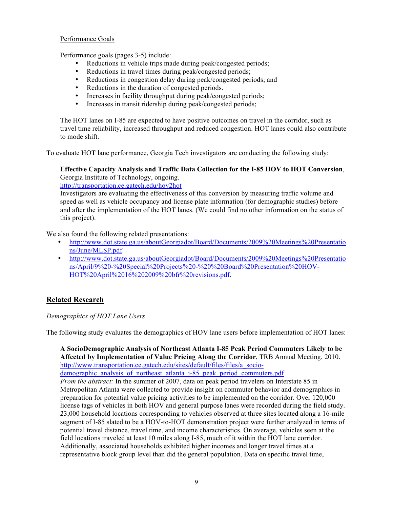### Performance Goals

Performance goals (pages 3-5) include:

- Reductions in vehicle trips made during peak/congested periods;
- Reductions in travel times during peak/congested periods;
- Reductions in congestion delay during peak/congested periods; and
- Reductions in the duration of congested periods.
- Increases in facility throughput during peak/congested periods;
- Increases in transit ridership during peak/congested periods;

The HOT lanes on I-85 are expected to have positive outcomes on travel in the corridor, such as travel time reliability, increased throughput and reduced congestion. HOT lanes could also contribute to mode shift.

To evaluate HOT lane performance, Georgia Tech investigators are conducting the following study:

## **Effective Capacity Analysis and Traffic Data Collection for the I-85 HOV to HOT Conversion**, Georgia Institute of Technology, ongoing.

http://transportation.ce.gatech.edu/hov2hot

Investigators are evaluating the effectiveness of this conversion by measuring traffic volume and speed as well as vehicle occupancy and license plate information (for demographic studies) before and after the implementation of the HOT lanes. (We could find no other information on the status of this project).

We also found the following related presentations:

- [http://www.dot.state.ga.us/aboutGeorgiadot/Board/Documents/2009%20Meetings%20Presentatio](%E2%80%A2%09http://www.dot.state.ga.us/aboutGeorgiadot/Board/Documents/2009%20Meetings%20Presentations/June/MLSP.pdf) ns/June/MLSP.pdf.
- [http://www.dot.state.ga.us/aboutGeorgiadot/Board/Documents/2009%20Meetings%20Presentatio](%E2%80%A2%09http://www.dot.state.ga.us/aboutGeorgiadot/Board/Documents/2009%20Meetings%20Presentations/April/9%20-%20Special%20Projects%20-%20%20Board%20Presentation%20HOV-HOT%20April%2016%202009%20bfr%20revisions.pdf) ns/April/9%20-%20Special%20Projects%20-%20%20Board%20Presentation%20HOV-HOT%20April%2016%202009%20bfr%20revisions.pdf.

## **Related Research**

### *Demographics of HOT Lane Users*

The following study evaluates the demographics of HOV lane users before implementation of HOT lanes:

**A SocioDemographic Analysis of Northeast Atlanta I-85 Peak Period Commuters Likely to be Affected by Implementation of Value Pricing Along the Corridor**, TRB Annual Meeting, 2010. http://www.transportation.ce.gatech.edu/sites/default/files/files/a\_socio-

demographic\_analysis\_of\_northeast\_atlanta\_i-85\_peak\_period\_commuters.pdf

*From the abstract:* In the summer of 2007, data on peak period travelers on Interstate 85 in Metropolitan Atlanta were collected to provide insight on commuter behavior and demographics in preparation for potential value pricing activities to be implemented on the corridor. Over 120,000 license tags of vehicles in both HOV and general purpose lanes were recorded during the field study. 23,000 household locations corresponding to vehicles observed at three sites located along a 16-mile segment of I-85 slated to be a HOV-to-HOT demonstration project were further analyzed in terms of potential travel distance, travel time, and income characteristics. On average, vehicles seen at the field locations traveled at least 10 miles along I-85, much of it within the HOT lane corridor. Additionally, associated households exhibited higher incomes and longer travel times at a representative block group level than did the general population. Data on specific travel time,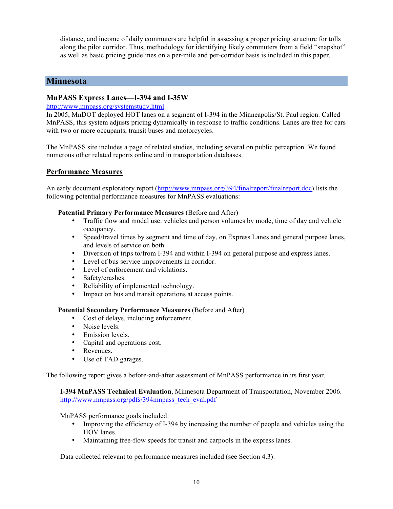distance, and income of daily commuters are helpful in assessing a proper pricing structure for tolls along the pilot corridor. Thus, methodology for identifying likely commuters from a field "snapshot" as well as basic pricing guidelines on a per-mile and per-corridor basis is included in this paper.

## **Minnesota**

## **MnPASS Express Lanes—I-394 and I-35W**

## http://www.mnpass.org/systemstudy.html

In 2005, MnDOT deployed HOT lanes on a segment of I-394 in the Minneapolis/St. Paul region. Called MnPASS, this system adjusts pricing dynamically in response to traffic conditions. Lanes are free for cars with two or more occupants, transit buses and motorcycles.

The MnPASS site includes a page of related studies, including several on public perception. We found numerous other related reports online and in transportation databases.

## **Performance Measures**

An early document exploratory report (http://www.mnpass.org/394/finalreport/finalreport.doc) lists the following potential performance measures for MnPASS evaluations:

### **Potential Primary Performance Measures** (Before and After)

- Traffic flow and modal use: vehicles and person volumes by mode, time of day and vehicle occupancy.
- Speed/travel times by segment and time of day, on Express Lanes and general purpose lanes, and levels of service on both.
- Diversion of trips to/from I-394 and within I-394 on general purpose and express lanes.
- Level of bus service improvements in corridor.
- Level of enforcement and violations.
- Safety/crashes.<br>• Reliability of in
- Reliability of implemented technology.
- Impact on bus and transit operations at access points.

#### **Potential Secondary Performance Measures** (Before and After)

- Cost of delays, including enforcement.
- Noise levels
- Emission levels.<br>• Capital and opera
- Capital and operations cost.
- Revenues.
- Use of TAD garages.

The following report gives a before-and-after assessment of MnPASS performance in its first year.

**I-394 MnPASS Technical Evaluation**, Minnesota Department of Transportation, November 2006. http://www.mnpass.org/pdfs/394mnpass\_tech\_eval.pdf

#### MnPASS performance goals included:

- Improving the efficiency of I-394 by increasing the number of people and vehicles using the HOV lanes.
- Maintaining free-flow speeds for transit and carpools in the express lanes.

Data collected relevant to performance measures included (see Section 4.3):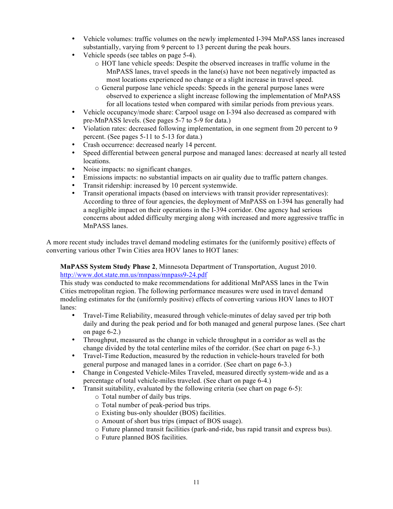- Vehicle volumes: traffic volumes on the newly implemented I-394 MnPASS lanes increased substantially, varying from 9 percent to 13 percent during the peak hours.
- Vehicle speeds (see tables on page 5-4).
	- o HOT lane vehicle speeds: Despite the observed increases in traffic volume in the MnPASS lanes, travel speeds in the lane(s) have not been negatively impacted as most locations experienced no change or a slight increase in travel speed.
	- o General purpose lane vehicle speeds: Speeds in the general purpose lanes were observed to experience a slight increase following the implementation of MnPASS for all locations tested when compared with similar periods from previous years.
- Vehicle occupancy/mode share: Carpool usage on I-394 also decreased as compared with pre-MnPASS levels. (See pages 5-7 to 5-9 for data.)
- Violation rates: decreased following implementation, in one segment from 20 percent to 9 percent. (See pages 5-11 to 5-13 for data.)
- Crash occurrence: decreased nearly 14 percent.
- Speed differential between general purpose and managed lanes: decreased at nearly all tested locations.
- Noise impacts: no significant changes.
- Emissions impacts: no substantial impacts on air quality due to traffic pattern changes.
- Transit ridership: increased by 10 percent systemwide.
- Transit operational impacts (based on interviews with transit provider representatives): According to three of four agencies, the deployment of MnPASS on I-394 has generally had a negligible impact on their operations in the I-394 corridor. One agency had serious concerns about added difficulty merging along with increased and more aggressive traffic in MnPASS lanes.

A more recent study includes travel demand modeling estimates for the (uniformly positive) effects of converting various other Twin Cities area HOV lanes to HOT lanes:

**MnPASS System Study Phase 2**, Minnesota Department of Transportation, August 2010. http://www.dot.state.mn.us/mnpass/mnpass9-24.pdf

This study was conducted to make recommendations for additional MnPASS lanes in the Twin Cities metropolitan region. The following performance measures were used in travel demand modeling estimates for the (uniformly positive) effects of converting various HOV lanes to HOT lanes:

- Travel-Time Reliability, measured through vehicle-minutes of delay saved per trip both daily and during the peak period and for both managed and general purpose lanes. (See chart on page 6-2.)
- Throughput, measured as the change in vehicle throughput in a corridor as well as the change divided by the total centerline miles of the corridor. (See chart on page 6-3.)
- Travel-Time Reduction, measured by the reduction in vehicle-hours traveled for both general purpose and managed lanes in a corridor. (See chart on page 6-3.)
- Change in Congested Vehicle-Miles Traveled, measured directly system-wide and as a percentage of total vehicle-miles traveled. (See chart on page 6-4.)
- Transit suitability, evaluated by the following criteria (see chart on page 6-5):
	- o Total number of daily bus trips.
	- o Total number of peak-period bus trips.
	- o Existing bus-only shoulder (BOS) facilities.
	- o Amount of short bus trips (impact of BOS usage).
	- o Future planned transit facilities (park-and-ride, bus rapid transit and express bus).
	- o Future planned BOS facilities.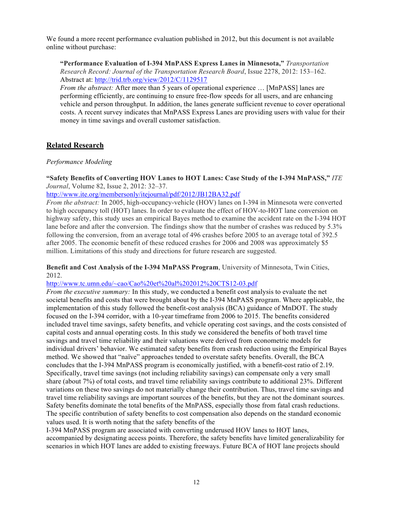We found a more recent performance evaluation published in 2012, but this document is not available online without purchase:

**"Performance Evaluation of I-394 MnPASS Express Lanes in Minnesota,"** *Transportation Research Record: Journal of the Transportation Research Board*, Issue 2278, 2012: 153–162. Abstract at: http://trid.trb.org/view/2012/C/1129517

*From the abstract:* After more than 5 years of operational experience … [MnPASS] lanes are performing efficiently, are continuing to ensure free-flow speeds for all users, and are enhancing vehicle and person throughput. In addition, the lanes generate sufficient revenue to cover operational costs. A recent survey indicates that MnPASS Express Lanes are providing users with value for their money in time savings and overall customer satisfaction.

## **Related Research**

## *Performance Modeling*

**"Safety Benefits of Converting HOV Lanes to HOT Lanes: Case Study of the I-394 MnPASS,"** *ITE Journal*, Volume 82, Issue 2, 2012: 32–37.

http://www.ite.org/membersonly/itejournal/pdf/2012/JB12BA32.pdf

*From the abstract:* In 2005, high-occupancy-vehicle (HOV) lanes on I-394 in Minnesota were converted to high occupancy toll (HOT) lanes. In order to evaluate the effect of HOV-to-HOT lane conversion on highway safety, this study uses an empirical Bayes method to examine the accident rate on the I-394 HOT lane before and after the conversion. The findings show that the number of crashes was reduced by 5.3% following the conversion, from an average total of 496 crashes before 2005 to an average total of 392.5 after 2005. The economic benefit of these reduced crashes for 2006 and 2008 was approximately \$5 million. Limitations of this study and directions for future research are suggested.

### **Benefit and Cost Analysis of the I-394 MnPASS Program**, University of Minnesota, Twin Cities, 2012.

http://www.tc.umn.edu/~cao/Cao%20et%20al%202012%20CTS12-03.pdf

*From the executive summary:* In this study, we conducted a benefit cost analysis to evaluate the net societal benefits and costs that were brought about by the I-394 MnPASS program. Where applicable, the implementation of this study followed the benefit-cost analysis (BCA) guidance of MnDOT. The study focused on the I-394 corridor, with a 10-year timeframe from 2006 to 2015. The benefits considered included travel time savings, safety benefits, and vehicle operating cost savings, and the costs consisted of capital costs and annual operating costs. In this study we considered the benefits of both travel time savings and travel time reliability and their valuations were derived from econometric models for individual drivers' behavior. We estimated safety benefits from crash reduction using the Empirical Bayes method. We showed that "naïve" approaches tended to overstate safety benefits. Overall, the BCA concludes that the I-394 MnPASS program is economically justified, with a benefit-cost ratio of 2.19. Specifically, travel time savings (not including reliability savings) can compensate only a very small share (about 7%) of total costs, and travel time reliability savings contribute to additional 23%. Different variations on these two savings do not materially change their contribution. Thus, travel time savings and travel time reliability savings are important sources of the benefits, but they are not the dominant sources. Safety benefits dominate the total benefits of the MnPASS, especially those from fatal crash reductions. The specific contribution of safety benefits to cost compensation also depends on the standard economic values used. It is worth noting that the safety benefits of the

I-394 MnPASS program are associated with converting underused HOV lanes to HOT lanes, accompanied by designating access points. Therefore, the safety benefits have limited generalizability for scenarios in which HOT lanes are added to existing freeways. Future BCA of HOT lane projects should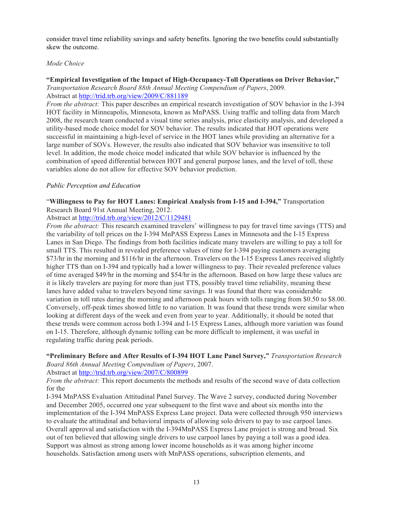consider travel time reliability savings and safety benefits. Ignoring the two benefits could substantially skew the outcome.

## *Mode Choice*

#### **"Empirical Investigation of the Impact of High-Occupancy-Toll Operations on Driver Behavior,"** *Transportation Research Board 88th Annual Meeting Compendium of Papers*, 2009. Abstract at http://trid.trb.org/view/2009/C/881189

*From the abstract:* This paper describes an empirical research investigation of SOV behavior in the I-394 HOT facility in Minneapolis, Minnesota, known as MnPASS. Using traffic and tolling data from March 2008, the research team conducted a visual time series analysis, price elasticity analysis, and developed a utility-based mode choice model for SOV behavior. The results indicated that HOT operations were successful in maintaining a high-level of service in the HOT lanes while providing an alternative for a large number of SOVs. However, the results also indicated that SOV behavior was insensitive to toll level. In addition, the mode choice model indicated that while SOV behavior is influenced by the combination of speed differential between HOT and general purpose lanes, and the level of toll, these variables alone do not allow for effective SOV behavior prediction.

## *Public Perception and Education*

## "**Willingness to Pay for HOT Lanes: Empirical Analysis from I-15 and I-394,"** Transportation Research Board 91st Annual Meeting, 2012.

Abstract at http://trid.trb.org/view/2012/C/1129481

*From the abstract:* This research examined travelers' willingness to pay for travel time savings (TTS) and the variability of toll prices on the I-394 MnPASS Express Lanes in Minnesota and the I-15 Express Lanes in San Diego. The findings from both facilities indicate many travelers are willing to pay a toll for small TTS. This resulted in revealed preference values of time for I-394 paying customers averaging \$73/hr in the morning and \$116/hr in the afternoon. Travelers on the I-15 Express Lanes received slightly higher TTS than on I-394 and typically had a lower willingness to pay. Their revealed preference values of time averaged \$49/hr in the morning and \$54/hr in the afternoon. Based on how large these values are it is likely travelers are paying for more than just TTS, possibly travel time reliability, meaning these lanes have added value to travelers beyond time savings. It was found that there was considerable variation in toll rates during the morning and afternoon peak hours with tolls ranging from \$0.50 to \$8.00. Conversely, off-peak times showed little to no variation. It was found that these trends were similar when looking at different days of the week and even from year to year. Additionally, it should be noted that these trends were common across both I-394 and I-15 Express Lanes, although more variation was found on I-15. Therefore, although dynamic tolling can be more difficult to implement, it was useful in regulating traffic during peak periods.

### **"Preliminary Before and After Results of I-394 HOT Lane Panel Survey,"** *Transportation Research Board 86th Annual Meeting Compendium of Papers*, 2007.

Abstract at http://trid.trb.org/view/2007/C/800899

*From the abstract:* This report documents the methods and results of the second wave of data collection for the

I-394 MnPASS Evaluation Attitudinal Panel Survey. The Wave 2 survey, conducted during November and December 2005, occurred one year subsequent to the first wave and about six months into the implementation of the I-394 MnPASS Express Lane project. Data were collected through 950 interviews to evaluate the attitudinal and behavioral impacts of allowing solo drivers to pay to use carpool lanes. Overall approval and satisfaction with the I-394MnPASS Express Lane project is strong and broad. Six out of ten believed that allowing single drivers to use carpool lanes by paying a toll was a good idea. Support was almost as strong among lower income households as it was among higher income households. Satisfaction among users with MnPASS operations, subscription elements, and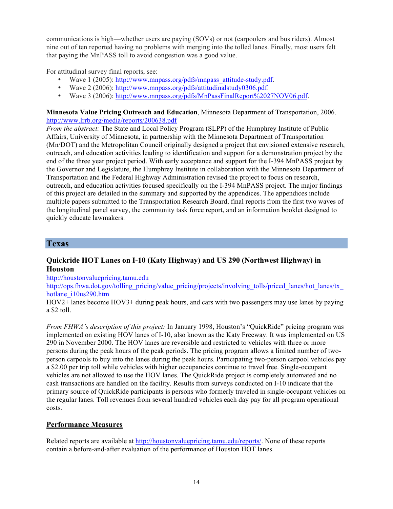communications is high—whether users are paying (SOVs) or not (carpoolers and bus riders). Almost nine out of ten reported having no problems with merging into the tolled lanes. Finally, most users felt that paying the MnPASS toll to avoid congestion was a good value.

For attitudinal survey final reports, see:

- Wave 1 (2005): http://www.mnpass.org/pdfs/mnpass\_attitude-study.pdf.
- Wave 2 (2006): http://www.mnpass.org/pdfs/attitudinalstudy0306.pdf.
- Wave 3 (2006): http://www.mnpass.org/pdfs/MnPassFinalReport%2027NOV06.pdf.

**Minnesota Value Pricing Outreach and Education**, Minnesota Department of Transportation, 2006. http://www.lrrb.org/media/reports/200638.pdf

*From the abstract:* The State and Local Policy Program (SLPP) of the Humphrey Institute of Public Affairs, University of Minnesota, in partnership with the Minnesota Department of Transportation (Mn/DOT) and the Metropolitan Council originally designed a project that envisioned extensive research, outreach, and education activities leading to identification and support for a demonstration project by the end of the three year project period. With early acceptance and support for the I-394 MnPASS project by the Governor and Legislature, the Humphrey Institute in collaboration with the Minnesota Department of Transportation and the Federal Highway Administration revised the project to focus on research, outreach, and education activities focused specifically on the I-394 MnPASS project. The major findings of this project are detailed in the summary and supported by the appendices. The appendices include multiple papers submitted to the Transportation Research Board, final reports from the first two waves of the longitudinal panel survey, the community task force report, and an information booklet designed to quickly educate lawmakers.

## **Texas**

## **Quickride HOT Lanes on I-10 (Katy Highway) and US 290 (Northwest Highway) in Houston**

http://houstonvaluepricing.tamu.edu

http://ops.fhwa.dot.gov/tolling\_pricing/value\_pricing/projects/involving\_tolls/priced\_lanes/hot\_lanes/tx\_ hotlane\_i10us290.htm

HOV2+ lanes become HOV3+ during peak hours, and cars with two passengers may use lanes by paying a \$2 toll.

*From FHWA's description of this project:* In January 1998, Houston's "QuickRide" pricing program was implemented on existing HOV lanes of I-10, also known as the Katy Freeway. It was implemented on US 290 in November 2000. The HOV lanes are reversible and restricted to vehicles with three or more persons during the peak hours of the peak periods. The pricing program allows a limited number of twoperson carpools to buy into the lanes during the peak hours. Participating two-person carpool vehicles pay a \$2.00 per trip toll while vehicles with higher occupancies continue to travel free. Single-occupant vehicles are not allowed to use the HOV lanes. The QuickRide project is completely automated and no cash transactions are handled on the facility. Results from surveys conducted on I-10 indicate that the primary source of QuickRide participants is persons who formerly traveled in single-occupant vehicles on the regular lanes. Toll revenues from several hundred vehicles each day pay for all program operational costs.

## **Performance Measures**

Related reports are available at http://houstonvaluepricing.tamu.edu/reports/. None of these reports contain a before-and-after evaluation of the performance of Houston HOT lanes.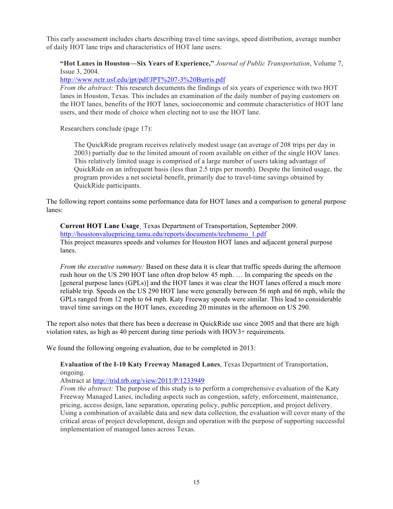This early assessment includes charts describing travel time savings, speed distribution, average number of daily HOT lane trips and characteristics of HOT lane users:

**"Hot Lanes in Houston—Six Years of Experience,"** *Journal of Public Transportation*, Volume 7, Issue 3, 2004.

http://www.nctr.usf.edu/jpt/pdf/JPT%207-3%20Burris.pdf

*From the abstract:* This research documents the findings of six years of experience with two HOT lanes in Houston, Texas. This includes an examination of the daily number of paying customers on the HOT lanes, benefits of the HOT lanes, socioeconomic and commute characteristics of HOT lane users, and their mode of choice when electing not to use the HOT lane.

Researchers conclude (page 17):

The QuickRide program receives relatively modest usage (an average of 208 trips per day in 2003) partially due to the limited amount of room available on either of the single HOV lanes. This relatively limited usage is comprised of a large number of users taking advantage of QuickRide on an infrequent basis (less than 2.5 trips per month). Despite the limited usage, the program provides a net societal benefit, primarily due to travel-time savings obtained by QuickRide participants.

The following report contains some performance data for HOT lanes and a comparison to general purpose lanes:

**Current HOT Lane Usage**¸ Texas Department of Transportation, September 2009. http://houstonvaluepricing.tamu.edu/reports/documents/techmemo\_1.pdf This project measures speeds and volumes for Houston HOT lanes and adjacent general purpose lanes.

*From the executive summary:* Based on these data it is clear that traffic speeds during the afternoon rush hour on the US 290 HOT lane often drop below 45 mph. … In comparing the speeds on the [general purpose lanes (GPLs)] and the HOT lanes it was clear the HOT lanes offered a much more reliable trip. Speeds on the US 290 HOT lane were generally between 56 mph and 66 mph, while the GPLs ranged from 12 mph to 64 mph. Katy Freeway speeds were similar. This lead to considerable travel time savings on the HOT lanes, exceeding 20 minutes in the afternoon on US 290.

The report also notes that there has been a decrease in QuickRide use since 2005 and that there are high violation rates, as high as 40 percent during time periods with HOV3+ requirements.

We found the following ongoing evaluation, due to be completed in 2013:

**Evaluation of the I-10 Katy Freeway Managed Lanes**, Texas Department of Transportation, ongoing.

Abstract at http://trid.trb.org/view/2011/P/1233949

*From the abstract:* The purpose of this study is to perform a comprehensive evaluation of the Katy Freeway Managed Lanes, including aspects such as congestion, safety, enforcement, maintenance, pricing, access design, lane separation, operating policy, public perception, and project delivery. Using a combination of available data and new data collection, the evaluation will cover many of the critical areas of project development, design and operation with the purpose of supporting successful implementation of managed lanes across Texas.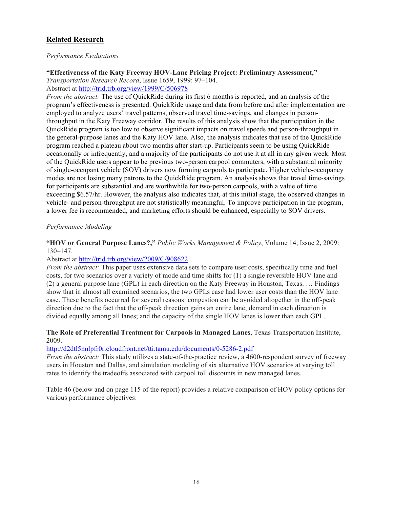## **Related Research**

## *Performance Evaluations*

**"Effectiveness of the Katy Freeway HOV-Lane Pricing Project: Preliminary Assessment,"**

*Transportation Research Record*, Issue 1659, 1999: 97–104. Abstract at http://trid.trb.org/view/1999/C/506978

*From the abstract:* The use of QuickRide during its first 6 months is reported, and an analysis of the program's effectiveness is presented. QuickRide usage and data from before and after implementation are employed to analyze users' travel patterns, observed travel time-savings, and changes in personthroughput in the Katy Freeway corridor. The results of this analysis show that the participation in the QuickRide program is too low to observe significant impacts on travel speeds and person-throughput in the general-purpose lanes and the Katy HOV lane. Also, the analysis indicates that use of the QuickRide program reached a plateau about two months after start-up. Participants seem to be using QuickRide occasionally or infrequently, and a majority of the participants do not use it at all in any given week. Most of the QuickRide users appear to be previous two-person carpool commuters, with a substantial minority of single-occupant vehicle (SOV) drivers now forming carpools to participate. Higher vehicle-occupancy modes are not losing many patrons to the QuickRide program. An analysis shows that travel time-savings for participants are substantial and are worthwhile for two-person carpools, with a value of time exceeding \$6.57/hr. However, the analysis also indicates that, at this initial stage, the observed changes in vehicle- and person-throughput are not statistically meaningful. To improve participation in the program, a lower fee is recommended, and marketing efforts should be enhanced, especially to SOV drivers.

## *Performance Modeling*

## **"HOV or General Purpose Lanes?,"** *Public Works Management & Policy*, Volume 14, Issue 2, 2009: 130–147.

### Abstract at http://trid.trb.org/view/2009/C/908622

*From the abstract:* This paper uses extensive data sets to compare user costs, specifically time and fuel costs, for two scenarios over a variety of mode and time shifts for (1) a single reversible HOV lane and (2) a general purpose lane (GPL) in each direction on the Katy Freeway in Houston, Texas. … Findings show that in almost all examined scenarios, the two GPLs case had lower user costs than the HOV lane case. These benefits occurred for several reasons: congestion can be avoided altogether in the off-peak direction due to the fact that the off-peak direction gains an entire lane; demand in each direction is divided equally among all lanes; and the capacity of the single HOV lanes is lower than each GPL.

### **The Role of Preferential Treatment for Carpools in Managed Lanes**, Texas Transportation Institute, 2009.

### http://d2dtl5nnlpfr0r.cloudfront.net/tti.tamu.edu/documents/0-5286-2.pdf

*From the abstract:* This study utilizes a state-of-the-practice review, a 4600-respondent survey of freeway users in Houston and Dallas, and simulation modeling of six alternative HOV scenarios at varying toll rates to identify the tradeoffs associated with carpool toll discounts in new managed lanes.

Table 46 (below and on page 115 of the report) provides a relative comparison of HOV policy options for various performance objectives: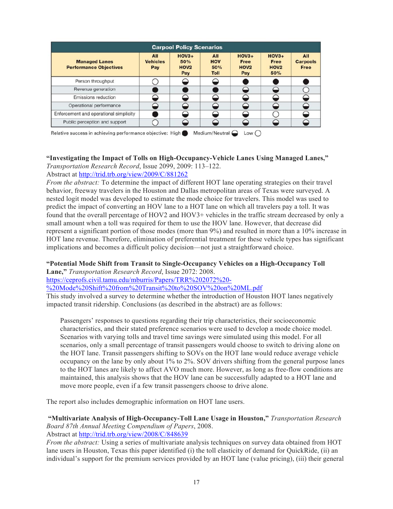| <b>Carpool Policy Scenarios</b>                       |                               |                                           |                                         |                                                   |                                                   |                                              |
|-------------------------------------------------------|-------------------------------|-------------------------------------------|-----------------------------------------|---------------------------------------------------|---------------------------------------------------|----------------------------------------------|
| <b>Managed Lanes</b><br><b>Performance Objectives</b> | All<br><b>Vehicles</b><br>Pay | $HOV3+$<br>50%<br>HOV <sub>2</sub><br>Pay | All<br><b>HOV</b><br>50%<br><b>Toll</b> | $HOV3+$<br><b>Free</b><br>HOV <sub>2</sub><br>Pay | $HOV3+$<br><b>Free</b><br>HOV <sub>2</sub><br>50% | <b>All</b><br><b>Carpools</b><br><b>Free</b> |
| Person throughput                                     |                               |                                           |                                         |                                                   |                                                   |                                              |
| Revenue generation                                    |                               |                                           |                                         |                                                   |                                                   |                                              |
| <b>Emissions reduction</b>                            |                               |                                           |                                         |                                                   | ≘                                                 |                                              |
| Operational performance                               |                               |                                           |                                         |                                                   |                                                   |                                              |
| Enforcement and operational simplicity                |                               |                                           |                                         |                                                   |                                                   |                                              |
| Public perception and support                         |                               |                                           |                                         |                                                   |                                                   |                                              |

#### **"Investigating the Impact of Tolls on High-Occupancy-Vehicle Lanes Using Managed Lanes,"** *Transportation Research Record*, Issue 2099, 2009: 113–122.

Abstract at http://trid.trb.org/view/2009/C/881262

*From the abstract:* To determine the impact of different HOT lane operating strategies on their travel behavior, freeway travelers in the Houston and Dallas metropolitan areas of Texas were surveyed. A nested logit model was developed to estimate the mode choice for travelers. This model was used to predict the impact of converting an HOV lane to a HOT lane on which all travelers pay a toll. It was found that the overall percentage of HOV2 and HOV3+ vehicles in the traffic stream decreased by only a small amount when a toll was required for them to use the HOV lane. However, that decrease did represent a significant portion of those modes (more than 9%) and resulted in more than a 10% increase in HOT lane revenue. Therefore, elimination of preferential treatment for these vehicle types has significant implications and becomes a difficult policy decision—not just a straightforward choice.

# **"Potential Mode Shift from Transit to Single-Occupancy Vehicles on a High-Occupancy Toll**

**Lane,"** *Transportation Research Record*, Issue 2072: 2008.

https://ceprofs.civil.tamu.edu/mburris/Papers/TRR%202072%20-

%20Mode%20Shift%20from%20Transit%20to%20SOV%20on%20ML.pdf

This study involved a survey to determine whether the introduction of Houston HOT lanes negatively impacted transit ridership. Conclusions (as described in the abstract) are as follows:

Passengers' responses to questions regarding their trip characteristics, their socioeconomic characteristics, and their stated preference scenarios were used to develop a mode choice model. Scenarios with varying tolls and travel time savings were simulated using this model. For all scenarios, only a small percentage of transit passengers would choose to switch to driving alone on the HOT lane. Transit passengers shifting to SOVs on the HOT lane would reduce average vehicle occupancy on the lane by only about 1% to 2%. SOV drivers shifting from the general purpose lanes to the HOT lanes are likely to affect AVO much more. However, as long as free-flow conditions are maintained, this analysis shows that the HOV lane can be successfully adapted to a HOT lane and move more people, even if a few transit passengers choose to drive alone.

The report also includes demographic information on HOT lane users.

## **"Multivariate Analysis of High-Occupancy-Toll Lane Usage in Houston,"** *Transportation Research Board 87th Annual Meeting Compendium of Papers*, 2008.

Abstract at http://trid.trb.org/view/2008/C/848639

*From the abstract:* Using a series of multivariate analysis techniques on survey data obtained from HOT lane users in Houston, Texas this paper identified (i) the toll elasticity of demand for QuickRide, (ii) an individual's support for the premium services provided by an HOT lane (value pricing), (iii) their general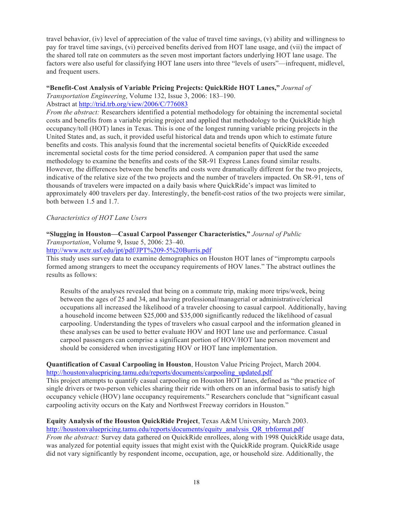travel behavior, (iv) level of appreciation of the value of travel time savings, (v) ability and willingness to pay for travel time savings, (vi) perceived benefits derived from HOT lane usage, and (vii) the impact of the shared toll rate on commuters as the seven most important factors underlying HOT lane usage. The factors were also useful for classifying HOT lane users into three "levels of users"—infrequent, midlevel, and frequent users.

#### **"Benefit-Cost Analysis of Variable Pricing Projects: QuickRide HOT Lanes,"** *Journal of*

*Transportation Engineering*, Volume 132, Issue 3, 2006: 183–190. Abstract at http://trid.trb.org/view/2006/C/776083

*From the abstract:* Researchers identified a potential methodology for obtaining the incremental societal costs and benefits from a variable pricing project and applied that methodology to the QuickRide high occupancy/toll (HOT) lanes in Texas. This is one of the longest running variable pricing projects in the United States and, as such, it provided useful historical data and trends upon which to estimate future benefits and costs. This analysis found that the incremental societal benefits of QuickRide exceeded incremental societal costs for the time period considered. A companion paper that used the same methodology to examine the benefits and costs of the SR-91 Express Lanes found similar results. However, the differences between the benefits and costs were dramatically different for the two projects, indicative of the relative size of the two projects and the number of travelers impacted. On SR-91, tens of thousands of travelers were impacted on a daily basis where QuickRide's impact was limited to approximately 400 travelers per day. Interestingly, the benefit-cost ratios of the two projects were similar, both between 1.5 and 1.7.

### *Characteristics of HOT Lane Users*

## **"Slugging in Houston—Casual Carpool Passenger Characteristics,"** *Journal of Public*

*Transportation*, Volume 9, Issue 5, 2006: 23–40.

http://www.nctr.usf.edu/jpt/pdf/JPT%209-5%20Burris.pdf

This study uses survey data to examine demographics on Houston HOT lanes of "impromptu carpools formed among strangers to meet the occupancy requirements of HOV lanes." The abstract outlines the results as follows:

Results of the analyses revealed that being on a commute trip, making more trips/week, being between the ages of 25 and 34, and having professional/managerial or administrative/clerical occupations all increased the likelihood of a traveler choosing to casual carpool. Additionally, having a household income between \$25,000 and \$35,000 significantly reduced the likelihood of casual carpooling. Understanding the types of travelers who casual carpool and the information gleaned in these analyses can be used to better evaluate HOV and HOT lane use and performance. Casual carpool passengers can comprise a significant portion of HOV/HOT lane person movement and should be considered when investigating HOV or HOT lane implementation.

## **Quantification of Casual Carpooling in Houston**, Houston Value Pricing Project, March 2004. http://houstonvaluepricing.tamu.edu/reports/documents/carpooling\_updated.pdf

This project attempts to quantify casual carpooling on Houston HOT lanes, defined as "the practice of single drivers or two-person vehicles sharing their ride with others on an informal basis to satisfy high occupancy vehicle (HOV) lane occupancy requirements." Researchers conclude that "significant casual carpooling activity occurs on the Katy and Northwest Freeway corridors in Houston."

#### **Equity Analysis of the Houston QuickRide Project**, Texas A&M University, March 2003. http://houstonvaluepricing.tamu.edu/reports/documents/equity\_analysis\_QR\_trbformat.pdf

*From the abstract:* Survey data gathered on QuickRide enrollees, along with 1998 QuickRide usage data, was analyzed for potential equity issues that might exist with the QuickRide program. QuickRide usage did not vary significantly by respondent income, occupation, age, or household size. Additionally, the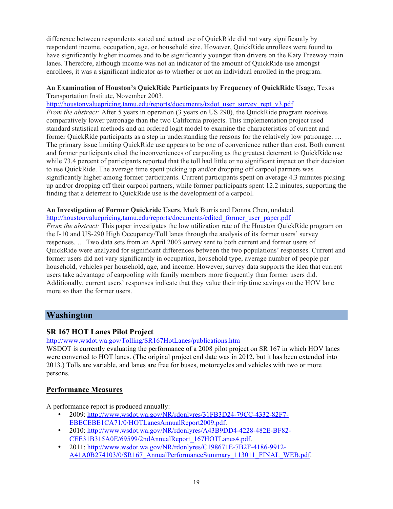difference between respondents stated and actual use of QuickRide did not vary significantly by respondent income, occupation, age, or household size. However, QuickRide enrollees were found to have significantly higher incomes and to be significantly younger than drivers on the Katy Freeway main lanes. Therefore, although income was not an indicator of the amount of QuickRide use amongst enrollees, it was a significant indicator as to whether or not an individual enrolled in the program.

## **An Examination of Houston's QuickRide Participants by Frequency of QuickRide Usage**, Texas Transportation Institute, November 2003.

http://houstonvaluepricing.tamu.edu/reports/documents/txdot\_user\_survey\_rept\_v3.pdf *From the abstract:* After 5 years in operation (3 years on US 290), the QuickRide program receives comparatively lower patronage than the two California projects. This implementation project used standard statistical methods and an ordered logit model to examine the characteristics of current and former QuickRide participants as a step in understanding the reasons for the relatively low patronage. … The primary issue limiting QuickRide use appears to be one of convenience rather than cost. Both current and former participants cited the inconveniences of carpooling as the greatest deterrent to QuickRide use while 73.4 percent of participants reported that the toll had little or no significant impact on their decision to use QuickRide. The average time spent picking up and/or dropping off carpool partners was significantly higher among former participants. Current participants spent on average 4.3 minutes picking up and/or dropping off their carpool partners, while former participants spent 12.2 minutes, supporting the finding that a deterrent to QuickRide use is the development of a carpool.

#### **An Investigation of Former Quickride Users**, Mark Burris and Donna Chen, undated. http://houstonvaluepricing.tamu.edu/reports/documents/edited\_former\_user\_paper.pdf

*From the abstract:* This paper investigates the low utilization rate of the Houston QuickRide program on the I-10 and US-290 High Occupancy/Toll lanes through the analysis of its former users' survey responses. … Two data sets from an April 2003 survey sent to both current and former users of QuickRide were analyzed for significant differences between the two populations' responses. Current and former users did not vary significantly in occupation, household type, average number of people per household, vehicles per household, age, and income. However, survey data supports the idea that current users take advantage of carpooling with family members more frequently than former users did. Additionally, current users' responses indicate that they value their trip time savings on the HOV lane more so than the former users.

# **Washington**

## **SR 167 HOT Lanes Pilot Project**

http://www.wsdot.wa.gov/Tolling/SR167HotLanes/publications.htm

WSDOT is currently evaluating the performance of a 2008 pilot project on SR 167 in which HOV lanes were converted to HOT lanes. (The original project end date was in 2012, but it has been extended into 2013.) Tolls are variable, and lanes are free for buses, motorcycles and vehicles with two or more persons.

## **Performance Measures**

A performance report is produced annually:

- 2009: http://www.wsdot.wa.gov/NR/rdonlyres/31FB3D24-79CC-4332-82F7- EBECEBE1CA71/0/HOTLanesAnnualReport2009.pdf.
- 2010: http://www.wsdot.wa.gov/NR/rdonlyres/A43B9DD4-4228-482E-BF82- CEE31B315A0E/69599/2ndAnnualReport\_167HOTLanes4.pdf.
- 2011: http://www.wsdot.wa.gov/NR/rdonlyres/C198671E-7B2F-4186-9912- A41A0B274103/0/SR167\_AnnualPerformanceSummary\_113011\_FINAL\_WEB.pdf.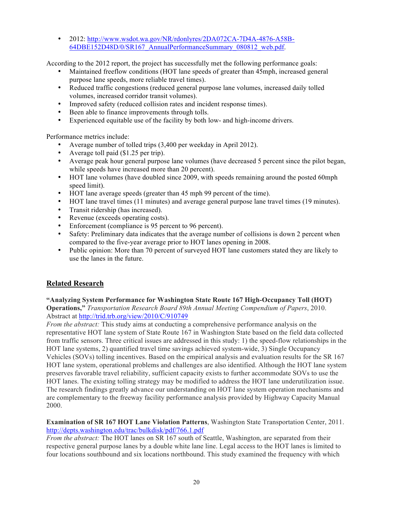• 2012: http://www.wsdot.wa.gov/NR/rdonlyres/2DA072CA-7D4A-4876-A58B-64DBE152D48D/0/SR167\_AnnualPerformanceSummary\_080812\_web.pdf.

According to the 2012 report, the project has successfully met the following performance goals:

- Maintained freeflow conditions (HOT lane speeds of greater than 45mph, increased general purpose lane speeds, more reliable travel times).
- Reduced traffic congestions (reduced general purpose lane volumes, increased daily tolled volumes, increased corridor transit volumes).
- Improved safety (reduced collision rates and incident response times).
- Been able to finance improvements through tolls.<br>• Experienced equitable use of the facility by both I
- Experienced equitable use of the facility by both low- and high-income drivers.

Performance metrics include:

- Average number of tolled trips (3,400 per weekday in April 2012).
- Average toll paid (\$1.25 per trip).
- Average peak hour general purpose lane volumes (have decreased 5 percent since the pilot began, while speeds have increased more than 20 percent).
- HOT lane volumes (have doubled since 2009, with speeds remaining around the posted 60mph speed limit).
- HOT lane average speeds (greater than 45 mph 99 percent of the time).
- HOT lane travel times (11 minutes) and average general purpose lane travel times (19 minutes).
- Transit ridership (has increased).
- Revenue (exceeds operating costs).
- Enforcement (compliance is 95 percent to 96 percent).
- Safety: Preliminary data indicates that the average number of collisions is down 2 percent when compared to the five-year average prior to HOT lanes opening in 2008.
- Public opinion: More than 70 percent of surveyed HOT lane customers stated they are likely to use the lanes in the future.

## **Related Research**

### **"Analyzing System Performance for Washington State Route 167 High-Occupancy Toll (HOT)**

**Operations,"** *Transportation Research Board 89th Annual Meeting Compendium of Papers*, 2010. Abstract at http://trid.trb.org/view/2010/C/910749

*From the abstract:* This study aims at conducting a comprehensive performance analysis on the representative HOT lane system of State Route 167 in Washington State based on the field data collected from traffic sensors. Three critical issues are addressed in this study: 1) the speed-flow relationships in the HOT lane systems, 2) quantified travel time savings achieved system-wide, 3) Single Occupancy Vehicles (SOVs) tolling incentives. Based on the empirical analysis and evaluation results for the SR 167 HOT lane system, operational problems and challenges are also identified. Although the HOT lane system preserves favorable travel reliability, sufficient capacity exists to further accommodate SOVs to use the HOT lanes. The existing tolling strategy may be modified to address the HOT lane underutilization issue. The research findings greatly advance our understanding on HOT lane system operation mechanisms and are complementary to the freeway facility performance analysis provided by Highway Capacity Manual 2000.

## **Examination of SR 167 HOT Lane Violation Patterns**, Washington State Transportation Center, 2011. http://depts.washington.edu/trac/bulkdisk/pdf/766.1.pdf

*From the abstract:* The HOT lanes on SR 167 south of Seattle, Washington, are separated from their respective general purpose lanes by a double white lane line. Legal access to the HOT lanes is limited to four locations southbound and six locations northbound. This study examined the frequency with which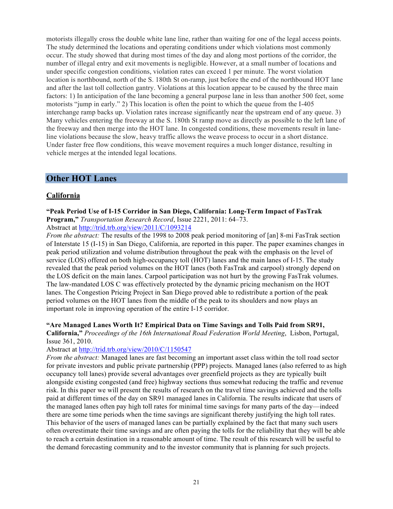motorists illegally cross the double white lane line, rather than waiting for one of the legal access points. The study determined the locations and operating conditions under which violations most commonly occur. The study showed that during most times of the day and along most portions of the corridor, the number of illegal entry and exit movements is negligible. However, at a small number of locations and under specific congestion conditions, violation rates can exceed 1 per minute. The worst violation location is northbound, north of the S. 180th St on-ramp, just before the end of the northbound HOT lane and after the last toll collection gantry. Violations at this location appear to be caused by the three main factors: 1) In anticipation of the lane becoming a general purpose lane in less than another 500 feet, some motorists "jump in early." 2) This location is often the point to which the queue from the I-405 interchange ramp backs up. Violation rates increase significantly near the upstream end of any queue. 3) Many vehicles entering the freeway at the S. 180th St ramp move as directly as possible to the left lane of the freeway and then merge into the HOT lane. In congested conditions, these movements result in laneline violations because the slow, heavy traffic allows the weave process to occur in a short distance. Under faster free flow conditions, this weave movement requires a much longer distance, resulting in vehicle merges at the intended legal locations.

## **Other HOT Lanes**

## **California**

**"Peak Period Use of I-15 Corridor in San Diego, California: Long-Term Impact of FasTrak Program,"** *Transportation Research Record*, Issue 2221, 2011: 64–73.

Abstract at http://trid.trb.org/view/2011/C/1093214

*From the abstract:* The results of the 1998 to 2008 peak period monitoring of [an] 8-mi FasTrak section of Interstate 15 (I-15) in San Diego, California, are reported in this paper. The paper examines changes in peak period utilization and volume distribution throughout the peak with the emphasis on the level of service (LOS) offered on both high-occupancy toll (HOT) lanes and the main lanes of I-15. The study revealed that the peak period volumes on the HOT lanes (both FasTrak and carpool) strongly depend on the LOS deficit on the main lanes. Carpool participation was not hurt by the growing FasTrak volumes. The law-mandated LOS C was effectively protected by the dynamic pricing mechanism on the HOT lanes. The Congestion Pricing Project in San Diego proved able to redistribute a portion of the peak period volumes on the HOT lanes from the middle of the peak to its shoulders and now plays an important role in improving operation of the entire I-15 corridor.

### **"Are Managed Lanes Worth It? Empirical Data on Time Savings and Tolls Paid from SR91,**

**California,"** *Proceedings of the 16th International Road Federation World Meeting*, Lisbon, Portugal, Issue 361, 2010.

### Abstract at http://trid.trb.org/view/2010/C/1150547

*From the abstract:* Managed lanes are fast becoming an important asset class within the toll road sector for private investors and public private partnership (PPP) projects. Managed lanes (also referred to as high occupancy toll lanes) provide several advantages over greenfield projects as they are typically built alongside existing congested (and free) highway sections thus somewhat reducing the traffic and revenue risk. In this paper we will present the results of research on the travel time savings achieved and the tolls paid at different times of the day on SR91 managed lanes in California. The results indicate that users of the managed lanes often pay high toll rates for minimal time savings for many parts of the day—indeed there are some time periods when the time savings are significant thereby justifying the high toll rates. This behavior of the users of managed lanes can be partially explained by the fact that many such users often overestimate their time savings and are often paying the tolls for the reliability that they will be able to reach a certain destination in a reasonable amount of time. The result of this research will be useful to the demand forecasting community and to the investor community that is planning for such projects.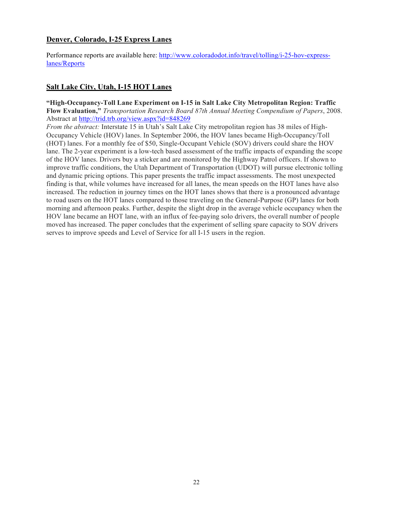## **Denver, Colorado, I-25 Express Lanes**

Performance reports are available here: http://www.coloradodot.info/travel/tolling/i-25-hov-expresslanes/Reports

## **Salt Lake City, Utah, I-15 HOT Lanes**

**"High-Occupancy-Toll Lane Experiment on I-15 in Salt Lake City Metropolitan Region: Traffic Flow Evaluation,"** *Transportation Research Board 87th Annual Meeting Compendium of Papers*, 2008. Abstract at http://trid.trb.org/view.aspx?id=848269

*From the abstract:* Interstate 15 in Utah's Salt Lake City metropolitan region has 38 miles of High-Occupancy Vehicle (HOV) lanes. In September 2006, the HOV lanes became High-Occupancy/Toll (HOT) lanes. For a monthly fee of \$50, Single-Occupant Vehicle (SOV) drivers could share the HOV lane. The 2-year experiment is a low-tech based assessment of the traffic impacts of expanding the scope of the HOV lanes. Drivers buy a sticker and are monitored by the Highway Patrol officers. If shown to improve traffic conditions, the Utah Department of Transportation (UDOT) will pursue electronic tolling and dynamic pricing options. This paper presents the traffic impact assessments. The most unexpected finding is that, while volumes have increased for all lanes, the mean speeds on the HOT lanes have also increased. The reduction in journey times on the HOT lanes shows that there is a pronounced advantage to road users on the HOT lanes compared to those traveling on the General-Purpose (GP) lanes for both morning and afternoon peaks. Further, despite the slight drop in the average vehicle occupancy when the HOV lane became an HOT lane, with an influx of fee-paying solo drivers, the overall number of people moved has increased. The paper concludes that the experiment of selling spare capacity to SOV drivers serves to improve speeds and Level of Service for all I-15 users in the region.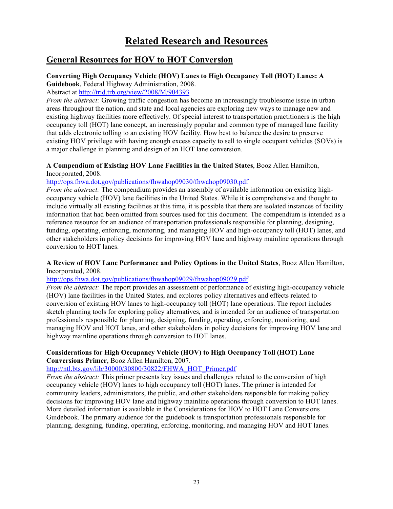# **Related Research and Resources**

## **General Resources for HOV to HOT Conversion**

# **Converting High Occupancy Vehicle (HOV) Lanes to High Occupancy Toll (HOT) Lanes: A**

**Guidebook**, Federal Highway Administration, 2008. Abstract at http://trid.trb.org/view/2008/M/904393

*From the abstract:* Growing traffic congestion has become an increasingly troublesome issue in urban areas throughout the nation, and state and local agencies are exploring new ways to manage new and existing highway facilities more effectively. Of special interest to transportation practitioners is the high occupancy toll (HOT) lane concept, an increasingly popular and common type of managed lane facility that adds electronic tolling to an existing HOV facility. How best to balance the desire to preserve existing HOV privilege with having enough excess capacity to sell to single occupant vehicles (SOVs) is a major challenge in planning and design of an HOT lane conversion.

## **A Compendium of Existing HOV Lane Facilities in the United States**, Booz Allen Hamilton, Incorporated, 2008.

http://ops.fhwa.dot.gov/publications/fhwahop09030/fhwahop09030.pdf

*From the abstract:* The compendium provides an assembly of available information on existing highoccupancy vehicle (HOV) lane facilities in the United States. While it is comprehensive and thought to include virtually all existing facilities at this time, it is possible that there are isolated instances of facility information that had been omitted from sources used for this document. The compendium is intended as a reference resource for an audience of transportation professionals responsible for planning, designing, funding, operating, enforcing, monitoring, and managing HOV and high-occupancy toll (HOT) lanes, and other stakeholders in policy decisions for improving HOV lane and highway mainline operations through conversion to HOT lanes.

## **A Review of HOV Lane Performance and Policy Options in the United States**, Booz Allen Hamilton, Incorporated, 2008.

### http://ops.fhwa.dot.gov/publications/fhwahop09029/fhwahop09029.pdf

*From the abstract:* The report provides an assessment of performance of existing high-occupancy vehicle (HOV) lane facilities in the United States, and explores policy alternatives and effects related to conversion of existing HOV lanes to high-occupancy toll (HOT) lane operations. The report includes sketch planning tools for exploring policy alternatives, and is intended for an audience of transportation professionals responsible for planning, designing, funding, operating, enforcing, monitoring, and managing HOV and HOT lanes, and other stakeholders in policy decisions for improving HOV lane and highway mainline operations through conversion to HOT lanes.

## **Considerations for High Occupancy Vehicle (HOV) to High Occupancy Toll (HOT) Lane Conversions Primer**, Booz Allen Hamilton, 2007.

## http://ntl.bts.gov/lib/30000/30800/30822/FHWA\_HOT\_Primer.pdf

*From the abstract:* This primer presents key issues and challenges related to the conversion of high occupancy vehicle (HOV) lanes to high occupancy toll (HOT) lanes. The primer is intended for community leaders, administrators, the public, and other stakeholders responsible for making policy decisions for improving HOV lane and highway mainline operations through conversion to HOT lanes. More detailed information is available in the Considerations for HOV to HOT Lane Conversions Guidebook. The primary audience for the guidebook is transportation professionals responsible for planning, designing, funding, operating, enforcing, monitoring, and managing HOV and HOT lanes.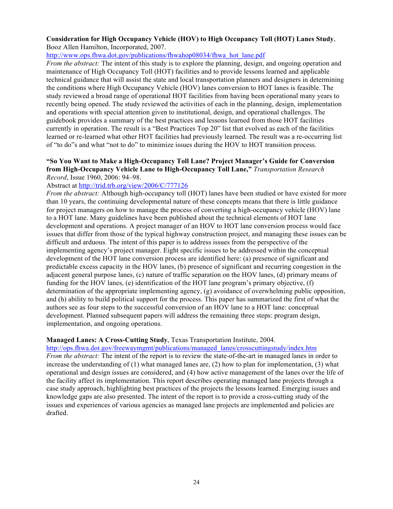#### **Consideration for High Occupancy Vehicle (HOV) to High Occupancy Toll (HOT) Lanes Study**, Booz Allen Hamilton, Incorporated, 2007.

http://www.ops.fhwa.dot.gov/publications/fhwahop08034/fhwa\_hot\_lane.pdf

*From the abstract:* The intent of this study is to explore the planning, design, and ongoing operation and maintenance of High Occupancy Toll (HOT) facilities and to provide lessons learned and applicable technical guidance that will assist the state and local transportation planners and designers in determining the conditions where High Occupancy Vehicle (HOV) lanes conversion to HOT lanes is feasible. The study reviewed a broad range of operational HOT facilities from having been operational many years to recently being opened. The study reviewed the activities of each in the planning, design, implementation and operations with special attention given to institutional, design, and operational challenges. The guidebook provides a summary of the best practices and lessons learned from those HOT facilities currently in operation. The result is a "Best Practices Top 20" list that evolved as each of the facilities learned or re-learned what other HOT facilities had previously learned. The result was a re-occurring list of "to do"s and what "not to do" to minimize issues during the HOV to HOT transition process.

#### **"So You Want to Make a High-Occupancy Toll Lane? Project Manager's Guide for Conversion from High-Occupancy Vehicle Lane to High-Occupancy Toll Lane,"** *Transportation Research Record*, Issue 1960, 2006: 94–98.

## Abstract at http://trid.trb.org/view/2006/C/777126

*From the abstract:* Although high-occupancy toll (HOT) lanes have been studied or have existed for more than 10 years, the continuing developmental nature of these concepts means that there is little guidance for project managers on how to manage the process of converting a high-occupancy vehicle (HOV) lane to a HOT lane. Many guidelines have been published about the technical elements of HOT lane development and operations. A project manager of an HOV to HOT lane conversion process would face issues that differ from those of the typical highway construction project, and managing these issues can be difficult and arduous. The intent of this paper is to address issues from the perspective of the implementing agency's project manager. Eight specific issues to be addressed within the conceptual development of the HOT lane conversion process are identified here: (a) presence of significant and predictable excess capacity in the HOV lanes, (b) presence of significant and recurring congestion in the adjacent general purpose lanes, (c) nature of traffic separation on the HOV lanes, (d) primary means of funding for the HOV lanes, (e) identification of the HOT lane program's primary objective, (f) determination of the appropriate implementing agency, (g) avoidance of overwhelming public opposition, and (h) ability to build political support for the process. This paper has summarized the first of what the authors see as four steps to the successful conversion of an HOV lane to a HOT lane: conceptual development. Planned subsequent papers will address the remaining three steps: program design, implementation, and ongoing operations.

### **Managed Lanes: A Cross-Cutting Study**, Texas Transportation Institute, 2004.

http://ops.fhwa.dot.gov/freewaymgmt/publications/managed\_lanes/crosscuttingstudy/index.htm *From the abstract:* The intent of the report is to review the state-of-the-art in managed lanes in order to increase the understanding of (1) what managed lanes are, (2) how to plan for implementation, (3) what operational and design issues are considered, and (4) how active management of the lanes over the life of the facility affect its implementation. This report describes operating managed lane projects through a case study approach, highlighting best practices of the projects the lessons learned. Emerging issues and knowledge gaps are also presented. The intent of the report is to provide a cross-cutting study of the issues and experiences of various agencies as managed lane projects are implemented and policies are drafted.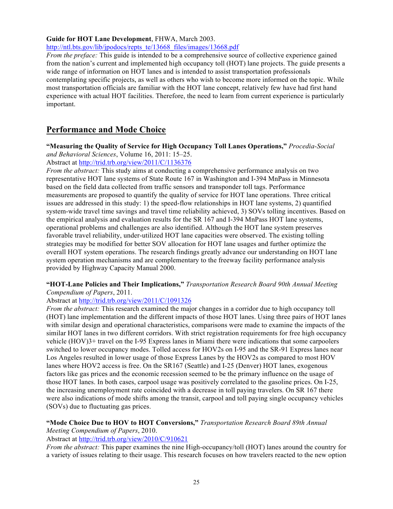## **Guide for HOT Lane Development**, FHWA, March 2003.

http://ntl.bts.gov/lib/jpodocs/repts\_te/13668\_files/images/13668.pdf

*From the preface:* This guide is intended to be a comprehensive source of collective experience gained from the nation's current and implemented high occupancy toll (HOT) lane projects. The guide presents a wide range of information on HOT lanes and is intended to assist transportation professionals contemplating specific projects, as well as others who wish to become more informed on the topic. While most transportation officials are familiar with the HOT lane concept, relatively few have had first hand experience with actual HOT facilities. Therefore, the need to learn from current experience is particularly important.

## **Performance and Mode Choice**

**"Measuring the Quality of Service for High Occupancy Toll Lanes Operations,"** *Procedia-Social and Behavioral Sciences*, Volume 16, 2011: 15–25.

Abstract at http://trid.trb.org/view/2011/C/1136376

*From the abstract:* This study aims at conducting a comprehensive performance analysis on two representative HOT lane systems of State Route 167 in Washington and I-394 MnPass in Minnesota based on the field data collected from traffic sensors and transponder toll tags. Performance measurements are proposed to quantify the quality of service for HOT lane operations. Three critical issues are addressed in this study: 1) the speed-flow relationships in HOT lane systems, 2) quantified system-wide travel time savings and travel time reliability achieved, 3) SOVs tolling incentives. Based on the empirical analysis and evaluation results for the SR 167 and I-394 MnPass HOT lane systems, operational problems and challenges are also identified. Although the HOT lane system preserves favorable travel reliability, under-utilized HOT lane capacities were observed. The existing tolling strategies may be modified for better SOV allocation for HOT lane usages and further optimize the overall HOT system operations. The research findings greatly advance our understanding on HOT lane system operation mechanisms and are complementary to the freeway facility performance analysis provided by Highway Capacity Manual 2000.

#### **"HOT-Lane Policies and Their Implications,"** *Transportation Research Board 90th Annual Meeting Compendium of Papers*, 2011.

## Abstract at http://trid.trb.org/view/2011/C/1091326

*From the abstract:* This research examined the major changes in a corridor due to high occupancy toll (HOT) lane implementation and the different impacts of those HOT lanes. Using three pairs of HOT lanes with similar design and operational characteristics, comparisons were made to examine the impacts of the similar HOT lanes in two different corridors. With strict registration requirements for free high occupancy vehicle (HOV)3+ travel on the I-95 Express lanes in Miami there were indications that some carpoolers switched to lower occupancy modes. Tolled access for HOV2s on I-95 and the SR-91 Express lanes near Los Angeles resulted in lower usage of those Express Lanes by the HOV2s as compared to most HOV lanes where HOV2 access is free. On the SR167 (Seattle) and I-25 (Denver) HOT lanes, exogenous factors like gas prices and the economic recession seemed to be the primary influence on the usage of those HOT lanes. In both cases, carpool usage was positively correlated to the gasoline prices. On I-25, the increasing unemployment rate coincided with a decrease in toll paying travelers. On SR 167 there were also indications of mode shifts among the transit, carpool and toll paying single occupancy vehicles (SOVs) due to fluctuating gas prices.

#### **"Mode Choice Due to HOV to HOT Conversions,"** *Transportation Research Board 89th Annual Meeting Compendium of Papers*, 2010.

Abstract at http://trid.trb.org/view/2010/C/910621

*From the abstract:* This paper examines the nine High-occupancy/toll (HOT) lanes around the country for a variety of issues relating to their usage. This research focuses on how travelers reacted to the new option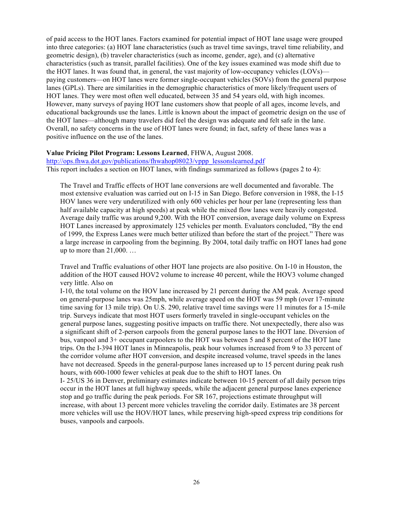of paid access to the HOT lanes. Factors examined for potential impact of HOT lane usage were grouped into three categories: (a) HOT lane characteristics (such as travel time savings, travel time reliability, and geometric design), (b) traveler characteristics (such as income, gender, age), and (c) alternative characteristics (such as transit, parallel facilities). One of the key issues examined was mode shift due to the HOT lanes. It was found that, in general, the vast majority of low-occupancy vehicles (LOVs) paying customers—on HOT lanes were former single-occupant vehicles (SOVs) from the general purpose lanes (GPLs). There are similarities in the demographic characteristics of more likely/frequent users of HOT lanes. They were most often well educated, between 35 and 54 years old, with high incomes. However, many surveys of paying HOT lane customers show that people of all ages, income levels, and educational backgrounds use the lanes. Little is known about the impact of geometric design on the use of the HOT lanes—although many travelers did feel the design was adequate and felt safe in the lane. Overall, no safety concerns in the use of HOT lanes were found; in fact, safety of these lanes was a positive influence on the use of the lanes.

#### **Value Pricing Pilot Program: Lessons Learned**, FHWA, August 2008.

http://ops.fhwa.dot.gov/publications/fhwahop08023/vppp\_lessonslearned.pdf This report includes a section on HOT lanes, with findings summarized as follows (pages 2 to 4):

The Travel and Traffic effects of HOT lane conversions are well documented and favorable. The most extensive evaluation was carried out on I-15 in San Diego. Before conversion in 1988, the I-15 HOV lanes were very underutilized with only 600 vehicles per hour per lane (representing less than half available capacity at high speeds) at peak while the mixed flow lanes were heavily congested. Average daily traffic was around 9,200. With the HOT conversion, average daily volume on Express HOT Lanes increased by approximately 125 vehicles per month. Evaluators concluded, "By the end of 1999, the Express Lanes were much better utilized than before the start of the project." There was a large increase in carpooling from the beginning. By 2004, total daily traffic on HOT lanes had gone up to more than 21,000. …

Travel and Traffic evaluations of other HOT lane projects are also positive. On I-10 in Houston, the addition of the HOT caused HOV2 volume to increase 40 percent, while the HOV3 volume changed very little. Also on

I-10, the total volume on the HOV lane increased by 21 percent during the AM peak. Average speed on general-purpose lanes was 25mph, while average speed on the HOT was 59 mph (over 17-minute time saving for 13 mile trip). On U.S. 290, relative travel time savings were 11 minutes for a 15-mile trip. Surveys indicate that most HOT users formerly traveled in single-occupant vehicles on the general purpose lanes, suggesting positive impacts on traffic there. Not unexpectedly, there also was a significant shift of 2-person carpools from the general purpose lanes to the HOT lane. Diversion of bus, vanpool and 3+ occupant carpoolers to the HOT was between 5 and 8 percent of the HOT lane trips. On the I-394 HOT lanes in Minneapolis, peak hour volumes increased from 9 to 33 percent of the corridor volume after HOT conversion, and despite increased volume, travel speeds in the lanes have not decreased. Speeds in the general-purpose lanes increased up to 15 percent during peak rush hours, with 600-1000 fewer vehicles at peak due to the shift to HOT lanes. On

I- 25/US 36 in Denver, preliminary estimates indicate between 10-15 percent of all daily person trips occur in the HOT lanes at full highway speeds, while the adjacent general purpose lanes experience stop and go traffic during the peak periods. For SR 167, projections estimate throughput will increase, with about 13 percent more vehicles traveling the corridor daily. Estimates are 38 percent more vehicles will use the HOV/HOT lanes, while preserving high-speed express trip conditions for buses, vanpools and carpools.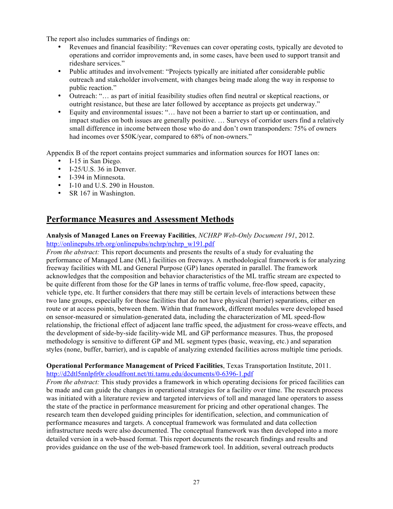The report also includes summaries of findings on:

- Revenues and financial feasibility: "Revenues can cover operating costs, typically are devoted to operations and corridor improvements and, in some cases, have been used to support transit and rideshare services."
- Public attitudes and involvement: "Projects typically are initiated after considerable public outreach and stakeholder involvement, with changes being made along the way in response to public reaction."
- Outreach: "… as part of initial feasibility studies often find neutral or skeptical reactions, or outright resistance, but these are later followed by acceptance as projects get underway."
- Equity and environmental issues: "… have not been a barrier to start up or continuation, and impact studies on both issues are generally positive. … Surveys of corridor users find a relatively small difference in income between those who do and don't own transponders: 75% of owners had incomes over  $$50K/year$ , compared to 68% of non-owners."

Appendix B of the report contains project summaries and information sources for HOT lanes on:

- I-15 in San Diego.
- I-25/U.S. 36 in Denver.
- I-394 in Minnesota.
- I-10 and U.S. 290 in Houston.
- SR 167 in Washington.

## **Performance Measures and Assessment Methods**

**Analysis of Managed Lanes on Freeway Facilities**, *NCHRP Web-Only Document 191*, 2012. http://onlinepubs.trb.org/onlinepubs/nchrp/nchrp\_w191.pdf

*From the abstract:* This report documents and presents the results of a study for evaluating the performance of Managed Lane (ML) facilities on freeways. A methodological framework is for analyzing freeway facilities with ML and General Purpose (GP) lanes operated in parallel. The framework acknowledges that the composition and behavior characteristics of the ML traffic stream are expected to be quite different from those for the GP lanes in terms of traffic volume, free-flow speed, capacity, vehicle type, etc. It further considers that there may still be certain levels of interactions between these two lane groups, especially for those facilities that do not have physical (barrier) separations, either en route or at access points, between them. Within that framework, different modules were developed based on sensor-measured or simulation-generated data, including the characterization of ML speed-flow relationship, the frictional effect of adjacent lane traffic speed, the adjustment for cross-weave effects, and the development of side-by-side facility-wide ML and GP performance measures. Thus, the proposed methodology is sensitive to different GP and ML segment types (basic, weaving, etc.) and separation styles (none, buffer, barrier), and is capable of analyzing extended facilities across multiple time periods.

## **Operational Performance Management of Priced Facilities**, Texas Transportation Institute, 2011. http://d2dtl5nnlpfr0r.cloudfront.net/tti.tamu.edu/documents/0-6396-1.pdf

*From the abstract:* This study provides a framework in which operating decisions for priced facilities can be made and can guide the changes in operational strategies for a facility over time. The research process was initiated with a literature review and targeted interviews of toll and managed lane operators to assess the state of the practice in performance measurement for pricing and other operational changes. The research team then developed guiding principles for identification, selection, and communication of performance measures and targets. A conceptual framework was formulated and data collection infrastructure needs were also documented. The conceptual framework was then developed into a more detailed version in a web-based format. This report documents the research findings and results and provides guidance on the use of the web-based framework tool. In addition, several outreach products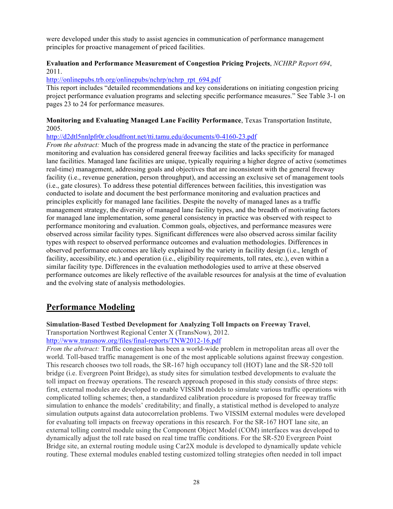were developed under this study to assist agencies in communication of performance management principles for proactive management of priced facilities.

## **Evaluation and Performance Measurement of Congestion Pricing Projects**, *NCHRP Report 694*, 2011.

http://onlinepubs.trb.org/onlinepubs/nchrp/nchrp\_rpt\_694.pdf

This report includes "detailed recommendations and key considerations on initiating congestion pricing project performance evaluation programs and selecting specific performance measures." See Table 3-1 on pages 23 to 24 for performance measures.

## **Monitoring and Evaluating Managed Lane Facility Performance**, Texas Transportation Institute, 2005.

## http://d2dtl5nnlpfr0r.cloudfront.net/tti.tamu.edu/documents/0-4160-23.pdf

*From the abstract:* Much of the progress made in advancing the state of the practice in performance monitoring and evaluation has considered general freeway facilities and lacks specificity for managed lane facilities. Managed lane facilities are unique, typically requiring a higher degree of active (sometimes real-time) management, addressing goals and objectives that are inconsistent with the general freeway facility (i.e., revenue generation, person throughput), and accessing an exclusive set of management tools (i.e., gate closures). To address these potential differences between facilities, this investigation was conducted to isolate and document the best performance monitoring and evaluation practices and principles explicitly for managed lane facilities. Despite the novelty of managed lanes as a traffic management strategy, the diversity of managed lane facility types, and the breadth of motivating factors for managed lane implementation, some general consistency in practice was observed with respect to performance monitoring and evaluation. Common goals, objectives, and performance measures were observed across similar facility types. Significant differences were also observed across similar facility types with respect to observed performance outcomes and evaluation methodologies. Differences in observed performance outcomes are likely explained by the variety in facility design (i.e., length of facility, accessibility, etc.) and operation (i.e., eligibility requirements, toll rates, etc.), even within a similar facility type. Differences in the evaluation methodologies used to arrive at these observed performance outcomes are likely reflective of the available resources for analysis at the time of evaluation and the evolving state of analysis methodologies.

# **Performance Modeling**

**Simulation-Based Testbed Development for Analyzing Toll Impacts on Freeway Travel**,

Transportation Northwest Regional Center X (TransNow), 2012.

http://www.transnow.org/files/final-reports/TNW2012-16.pdf

*From the abstract:* Traffic congestion has been a world-wide problem in metropolitan areas all over the world. Toll-based traffic management is one of the most applicable solutions against freeway congestion. This research chooses two toll roads, the SR-167 high occupancy toll (HOT) lane and the SR-520 toll bridge (i.e. Evergreen Point Bridge), as study sites for simulation testbed developments to evaluate the toll impact on freeway operations. The research approach proposed in this study consists of three steps: first, external modules are developed to enable VISSIM models to simulate various traffic operations with complicated tolling schemes; then, a standardized calibration procedure is proposed for freeway traffic simulation to enhance the models' creditability; and finally, a statistical method is developed to analyze simulation outputs against data autocorrelation problems. Two VISSIM external modules were developed for evaluating toll impacts on freeway operations in this research. For the SR-167 HOT lane site, an external tolling control module using the Component Object Model (COM) interfaces was developed to dynamically adjust the toll rate based on real time traffic conditions. For the SR-520 Evergreen Point Bridge site, an external routing module using Car2X module is developed to dynamically update vehicle routing. These external modules enabled testing customized tolling strategies often needed in toll impact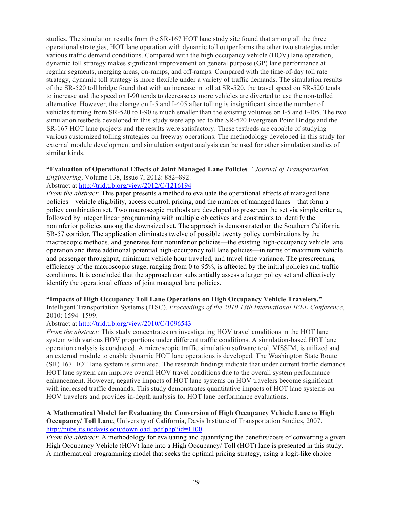studies. The simulation results from the SR-167 HOT lane study site found that among all the three operational strategies, HOT lane operation with dynamic toll outperforms the other two strategies under various traffic demand conditions. Compared with the high occupancy vehicle (HOV) lane operation, dynamic toll strategy makes significant improvement on general purpose (GP) lane performance at regular segments, merging areas, on-ramps, and off-ramps. Compared with the time-of-day toll rate strategy, dynamic toll strategy is more flexible under a variety of traffic demands. The simulation results of the SR-520 toll bridge found that with an increase in toll at SR-520, the travel speed on SR-520 tends to increase and the speed on I-90 tends to decrease as more vehicles are diverted to use the non-tolled alternative. However, the change on I-5 and I-405 after tolling is insignificant since the number of vehicles turning from SR-520 to I-90 is much smaller than the existing volumes on I-5 and I-405. The two simulation testbeds developed in this study were applied to the SR-520 Evergreen Point Bridge and the SR-167 HOT lane projects and the results were satisfactory. These testbeds are capable of studying various customized tolling strategies on freeway operations. The methodology developed in this study for external module development and simulation output analysis can be used for other simulation studies of similar kinds.

#### **"Evaluation of Operational Effects of Joint Managed Lane Policies***," Journal of Transportation Engineering*, Volume 138, Issue 7, 2012: 882–892.

Abstract at http://trid.trb.org/view/2012/C/1216194

*From the abstract:* This paper presents a method to evaluate the operational effects of managed lane policies—vehicle eligibility, access control, pricing, and the number of managed lanes—that form a policy combination set. Two macroscopic methods are developed to prescreen the set via simple criteria, followed by integer linear programming with multiple objectives and constraints to identify the noninferior policies among the downsized set. The approach is demonstrated on the Southern California SR-57 corridor. The application eliminates twelve of possible twenty policy combinations by the macroscopic methods, and generates four noninferior policies—the existing high-occupancy vehicle lane operation and three additional potential high-occupancy toll lane policies—in terms of maximum vehicle and passenger throughput, minimum vehicle hour traveled, and travel time variance. The prescreening efficiency of the macroscopic stage, ranging from 0 to 95%, is affected by the initial policies and traffic conditions. It is concluded that the approach can substantially assess a larger policy set and effectively identify the operational effects of joint managed lane policies.

### **"Impacts of High Occupancy Toll Lane Operations on High Occupancy Vehicle Travelers,"**

Intelligent Transportation Systems (ITSC), *Proceedings of the 2010 13th International IEEE Conference*, 2010: 1594–1599.

### Abstract at http://trid.trb.org/view/2010/C/1096543

*From the abstract:* This study concentrates on investigating HOV travel conditions in the HOT lane system with various HOV proportions under different traffic conditions. A simulation-based HOT lane operation analysis is conducted. A microscopic traffic simulation software tool, VISSIM, is utilized and an external module to enable dynamic HOT lane operations is developed. The Washington State Route (SR) 167 HOT lane system is simulated. The research findings indicate that under current traffic demands HOT lane system can improve overall HOV travel conditions due to the overall system performance enhancement. However, negative impacts of HOT lane systems on HOV travelers become significant with increased traffic demands. This study demonstrates quantitative impacts of HOT lane systems on HOV travelers and provides in-depth analysis for HOT lane performance evaluations.

### **A Mathematical Model for Evaluating the Conversion of High Occupancy Vehicle Lane to High Occupancy/ Toll Lane**, University of California, Davis Institute of Transportation Studies, 2007. http://pubs.its.ucdavis.edu/download\_pdf.php?id=1100

*From the abstract:* A methodology for evaluating and quantifying the benefits/costs of converting a given High Occupancy Vehicle (HOV) lane into a High Occupancy/ Toll (HOT) lane is presented in this study. A mathematical programming model that seeks the optimal pricing strategy, using a logit-like choice